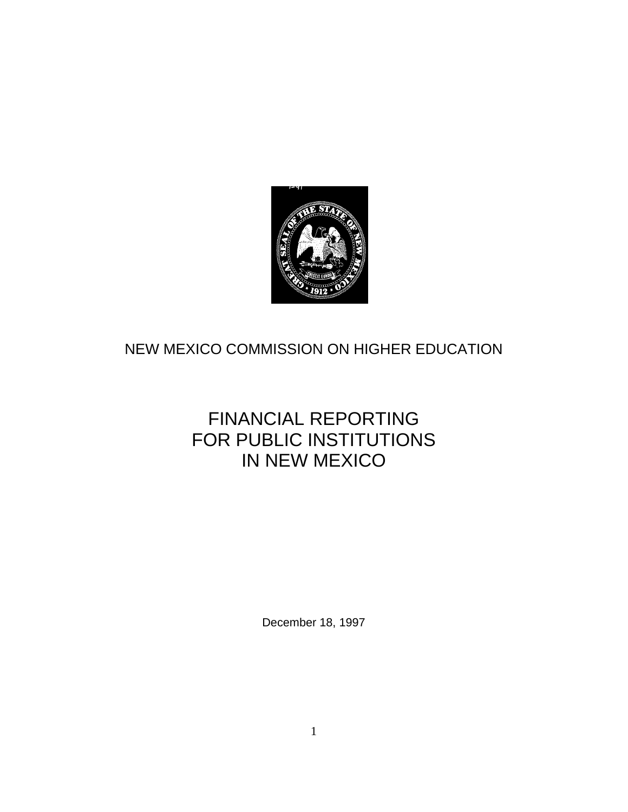

# NEW MEXICO COMMISSION ON HIGHER EDUCATION

# FINANCIAL REPORTING FOR PUBLIC INSTITUTIONS IN NEW MEXICO

December 18, 1997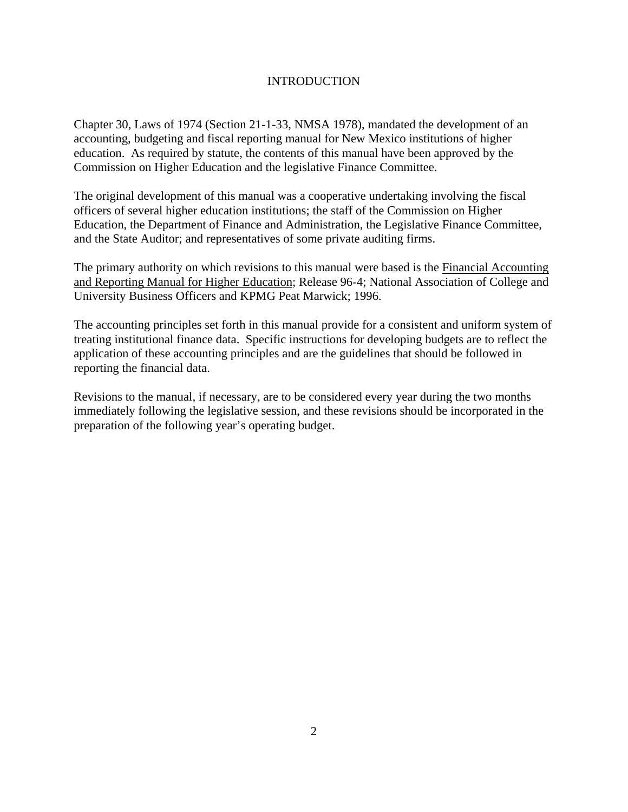### **INTRODUCTION**

Chapter 30, Laws of 1974 (Section 21-1-33, NMSA 1978), mandated the development of an accounting, budgeting and fiscal reporting manual for New Mexico institutions of higher education. As required by statute, the contents of this manual have been approved by the Commission on Higher Education and the legislative Finance Committee.

The original development of this manual was a cooperative undertaking involving the fiscal officers of several higher education institutions; the staff of the Commission on Higher Education, the Department of Finance and Administration, the Legislative Finance Committee, and the State Auditor; and representatives of some private auditing firms.

The primary authority on which revisions to this manual were based is the Financial Accounting and Reporting Manual for Higher Education; Release 96-4; National Association of College and University Business Officers and KPMG Peat Marwick; 1996.

The accounting principles set forth in this manual provide for a consistent and uniform system of treating institutional finance data. Specific instructions for developing budgets are to reflect the application of these accounting principles and are the guidelines that should be followed in reporting the financial data.

Revisions to the manual, if necessary, are to be considered every year during the two months immediately following the legislative session, and these revisions should be incorporated in the preparation of the following year's operating budget.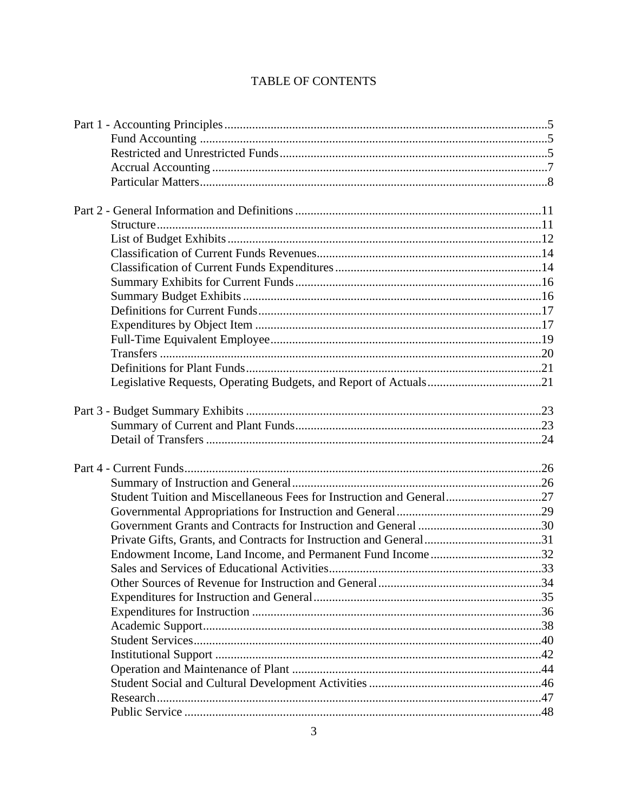# TABLE OF CONTENTS

| Student Tuition and Miscellaneous Fees for Instruction and General27 |  |
|----------------------------------------------------------------------|--|
|                                                                      |  |
|                                                                      |  |
|                                                                      |  |
|                                                                      |  |
|                                                                      |  |
|                                                                      |  |
|                                                                      |  |
|                                                                      |  |
|                                                                      |  |
|                                                                      |  |
|                                                                      |  |
|                                                                      |  |
|                                                                      |  |
|                                                                      |  |
|                                                                      |  |
|                                                                      |  |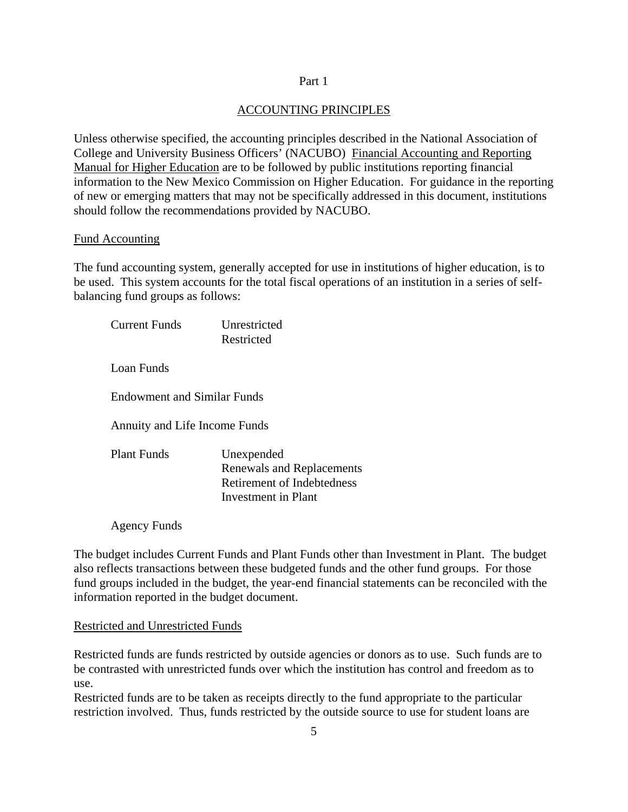#### Part 1

### ACCOUNTING PRINCIPLES

Unless otherwise specified, the accounting principles described in the National Association of College and University Business Officers' (NACUBO) Financial Accounting and Reporting Manual for Higher Education are to be followed by public institutions reporting financial information to the New Mexico Commission on Higher Education. For guidance in the reporting of new or emerging matters that may not be specifically addressed in this document, institutions should follow the recommendations provided by NACUBO.

#### Fund Accounting

The fund accounting system, generally accepted for use in institutions of higher education, is to be used. This system accounts for the total fiscal operations of an institution in a series of selfbalancing fund groups as follows:

| Current Funds                      | <b>Unrestricted</b><br>Restricted                                                            |
|------------------------------------|----------------------------------------------------------------------------------------------|
| Loan Funds                         |                                                                                              |
| <b>Endowment and Similar Funds</b> |                                                                                              |
| Annuity and Life Income Funds      |                                                                                              |
| <b>Plant Funds</b>                 | Unexpended<br>Renewals and Replacements<br>Retirement of Indebtedness<br>Investment in Plant |

Agency Funds

The budget includes Current Funds and Plant Funds other than Investment in Plant. The budget also reflects transactions between these budgeted funds and the other fund groups. For those fund groups included in the budget, the year-end financial statements can be reconciled with the information reported in the budget document.

#### Restricted and Unrestricted Funds

Restricted funds are funds restricted by outside agencies or donors as to use. Such funds are to be contrasted with unrestricted funds over which the institution has control and freedom as to use.

Restricted funds are to be taken as receipts directly to the fund appropriate to the particular restriction involved. Thus, funds restricted by the outside source to use for student loans are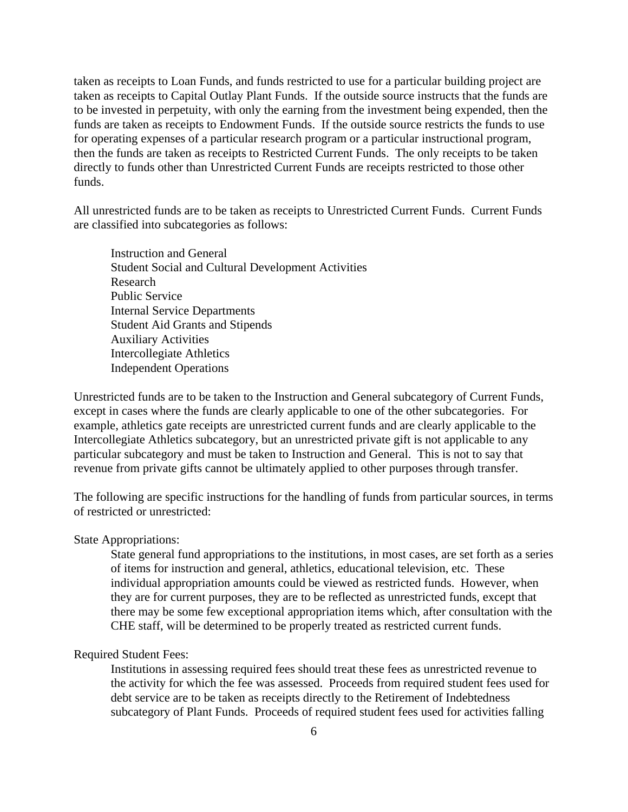taken as receipts to Loan Funds, and funds restricted to use for a particular building project are taken as receipts to Capital Outlay Plant Funds. If the outside source instructs that the funds are to be invested in perpetuity, with only the earning from the investment being expended, then the funds are taken as receipts to Endowment Funds. If the outside source restricts the funds to use for operating expenses of a particular research program or a particular instructional program, then the funds are taken as receipts to Restricted Current Funds. The only receipts to be taken directly to funds other than Unrestricted Current Funds are receipts restricted to those other funds.

All unrestricted funds are to be taken as receipts to Unrestricted Current Funds. Current Funds are classified into subcategories as follows:

Instruction and General Student Social and Cultural Development Activities Research Public Service Internal Service Departments Student Aid Grants and Stipends Auxiliary Activities Intercollegiate Athletics Independent Operations

Unrestricted funds are to be taken to the Instruction and General subcategory of Current Funds, except in cases where the funds are clearly applicable to one of the other subcategories. For example, athletics gate receipts are unrestricted current funds and are clearly applicable to the Intercollegiate Athletics subcategory, but an unrestricted private gift is not applicable to any particular subcategory and must be taken to Instruction and General. This is not to say that revenue from private gifts cannot be ultimately applied to other purposes through transfer.

The following are specific instructions for the handling of funds from particular sources, in terms of restricted or unrestricted:

#### State Appropriations:

State general fund appropriations to the institutions, in most cases, are set forth as a series of items for instruction and general, athletics, educational television, etc. These individual appropriation amounts could be viewed as restricted funds. However, when they are for current purposes, they are to be reflected as unrestricted funds, except that there may be some few exceptional appropriation items which, after consultation with the CHE staff, will be determined to be properly treated as restricted current funds.

### Required Student Fees:

Institutions in assessing required fees should treat these fees as unrestricted revenue to the activity for which the fee was assessed. Proceeds from required student fees used for debt service are to be taken as receipts directly to the Retirement of Indebtedness subcategory of Plant Funds. Proceeds of required student fees used for activities falling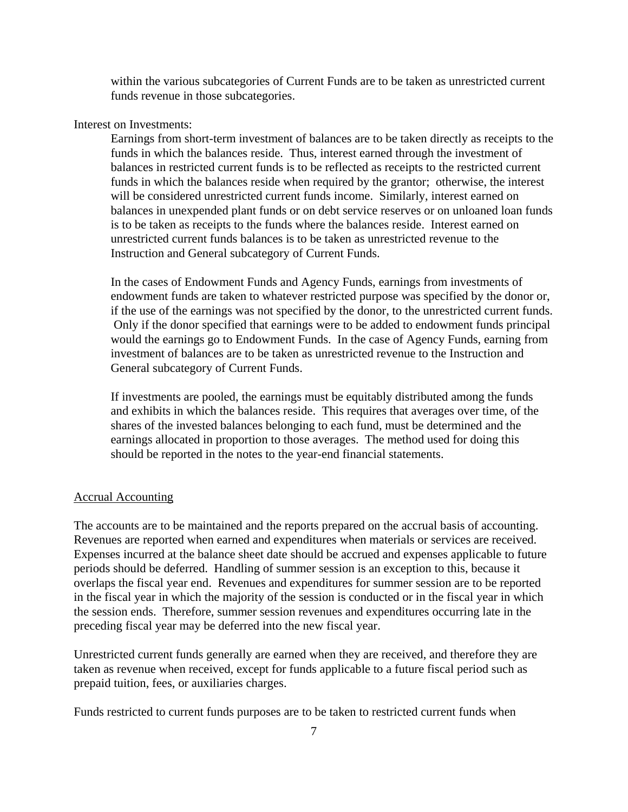within the various subcategories of Current Funds are to be taken as unrestricted current funds revenue in those subcategories.

#### Interest on Investments:

Earnings from short-term investment of balances are to be taken directly as receipts to the funds in which the balances reside. Thus, interest earned through the investment of balances in restricted current funds is to be reflected as receipts to the restricted current funds in which the balances reside when required by the grantor; otherwise, the interest will be considered unrestricted current funds income. Similarly, interest earned on balances in unexpended plant funds or on debt service reserves or on unloaned loan funds is to be taken as receipts to the funds where the balances reside. Interest earned on unrestricted current funds balances is to be taken as unrestricted revenue to the Instruction and General subcategory of Current Funds.

In the cases of Endowment Funds and Agency Funds, earnings from investments of endowment funds are taken to whatever restricted purpose was specified by the donor or, if the use of the earnings was not specified by the donor, to the unrestricted current funds. Only if the donor specified that earnings were to be added to endowment funds principal would the earnings go to Endowment Funds. In the case of Agency Funds, earning from investment of balances are to be taken as unrestricted revenue to the Instruction and General subcategory of Current Funds.

If investments are pooled, the earnings must be equitably distributed among the funds and exhibits in which the balances reside. This requires that averages over time, of the shares of the invested balances belonging to each fund, must be determined and the earnings allocated in proportion to those averages. The method used for doing this should be reported in the notes to the year-end financial statements.

#### Accrual Accounting

The accounts are to be maintained and the reports prepared on the accrual basis of accounting. Revenues are reported when earned and expenditures when materials or services are received. Expenses incurred at the balance sheet date should be accrued and expenses applicable to future periods should be deferred. Handling of summer session is an exception to this, because it overlaps the fiscal year end. Revenues and expenditures for summer session are to be reported in the fiscal year in which the majority of the session is conducted or in the fiscal year in which the session ends. Therefore, summer session revenues and expenditures occurring late in the preceding fiscal year may be deferred into the new fiscal year.

Unrestricted current funds generally are earned when they are received, and therefore they are taken as revenue when received, except for funds applicable to a future fiscal period such as prepaid tuition, fees, or auxiliaries charges.

Funds restricted to current funds purposes are to be taken to restricted current funds when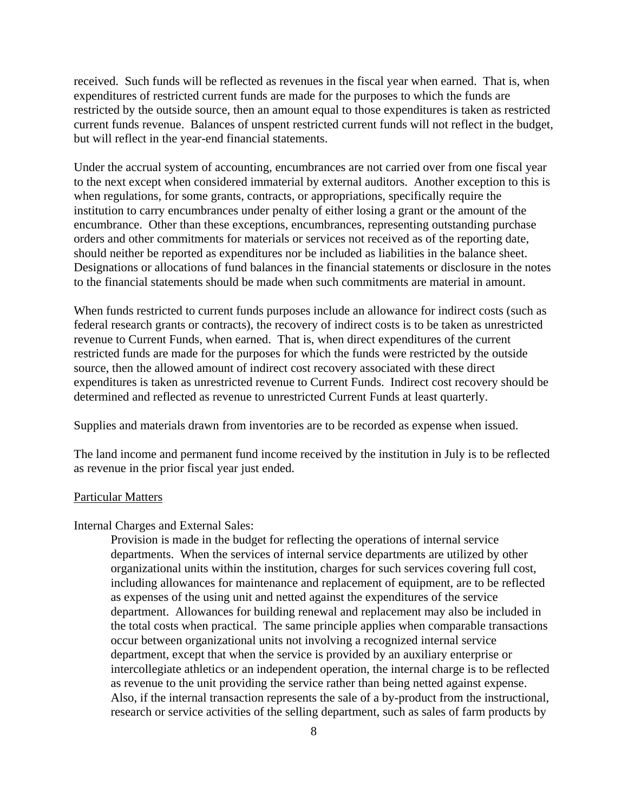received. Such funds will be reflected as revenues in the fiscal year when earned. That is, when expenditures of restricted current funds are made for the purposes to which the funds are restricted by the outside source, then an amount equal to those expenditures is taken as restricted current funds revenue. Balances of unspent restricted current funds will not reflect in the budget, but will reflect in the year-end financial statements.

Under the accrual system of accounting, encumbrances are not carried over from one fiscal year to the next except when considered immaterial by external auditors. Another exception to this is when regulations, for some grants, contracts, or appropriations, specifically require the institution to carry encumbrances under penalty of either losing a grant or the amount of the encumbrance. Other than these exceptions, encumbrances, representing outstanding purchase orders and other commitments for materials or services not received as of the reporting date, should neither be reported as expenditures nor be included as liabilities in the balance sheet. Designations or allocations of fund balances in the financial statements or disclosure in the notes to the financial statements should be made when such commitments are material in amount.

When funds restricted to current funds purposes include an allowance for indirect costs (such as federal research grants or contracts), the recovery of indirect costs is to be taken as unrestricted revenue to Current Funds, when earned. That is, when direct expenditures of the current restricted funds are made for the purposes for which the funds were restricted by the outside source, then the allowed amount of indirect cost recovery associated with these direct expenditures is taken as unrestricted revenue to Current Funds. Indirect cost recovery should be determined and reflected as revenue to unrestricted Current Funds at least quarterly.

Supplies and materials drawn from inventories are to be recorded as expense when issued.

The land income and permanent fund income received by the institution in July is to be reflected as revenue in the prior fiscal year just ended.

#### Particular Matters

#### Internal Charges and External Sales:

Provision is made in the budget for reflecting the operations of internal service departments. When the services of internal service departments are utilized by other organizational units within the institution, charges for such services covering full cost, including allowances for maintenance and replacement of equipment, are to be reflected as expenses of the using unit and netted against the expenditures of the service department. Allowances for building renewal and replacement may also be included in the total costs when practical. The same principle applies when comparable transactions occur between organizational units not involving a recognized internal service department, except that when the service is provided by an auxiliary enterprise or intercollegiate athletics or an independent operation, the internal charge is to be reflected as revenue to the unit providing the service rather than being netted against expense. Also, if the internal transaction represents the sale of a by-product from the instructional, research or service activities of the selling department, such as sales of farm products by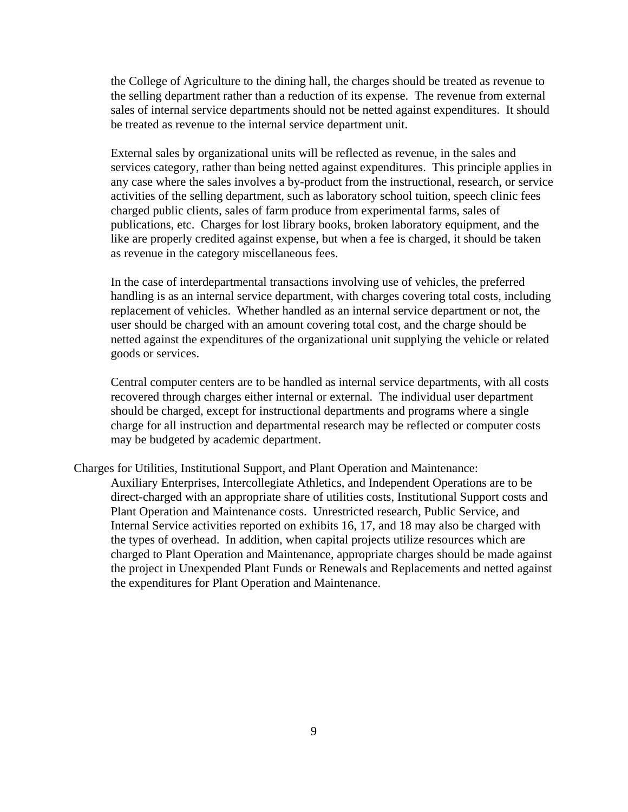the College of Agriculture to the dining hall, the charges should be treated as revenue to the selling department rather than a reduction of its expense. The revenue from external sales of internal service departments should not be netted against expenditures. It should be treated as revenue to the internal service department unit.

External sales by organizational units will be reflected as revenue, in the sales and services category, rather than being netted against expenditures. This principle applies in any case where the sales involves a by-product from the instructional, research, or service activities of the selling department, such as laboratory school tuition, speech clinic fees charged public clients, sales of farm produce from experimental farms, sales of publications, etc. Charges for lost library books, broken laboratory equipment, and the like are properly credited against expense, but when a fee is charged, it should be taken as revenue in the category miscellaneous fees.

In the case of interdepartmental transactions involving use of vehicles, the preferred handling is as an internal service department, with charges covering total costs, including replacement of vehicles. Whether handled as an internal service department or not, the user should be charged with an amount covering total cost, and the charge should be netted against the expenditures of the organizational unit supplying the vehicle or related goods or services.

Central computer centers are to be handled as internal service departments, with all costs recovered through charges either internal or external. The individual user department should be charged, except for instructional departments and programs where a single charge for all instruction and departmental research may be reflected or computer costs may be budgeted by academic department.

Charges for Utilities, Institutional Support, and Plant Operation and Maintenance: Auxiliary Enterprises, Intercollegiate Athletics, and Independent Operations are to be direct-charged with an appropriate share of utilities costs, Institutional Support costs and Plant Operation and Maintenance costs. Unrestricted research, Public Service, and Internal Service activities reported on exhibits 16, 17, and 18 may also be charged with the types of overhead. In addition, when capital projects utilize resources which are charged to Plant Operation and Maintenance, appropriate charges should be made against the project in Unexpended Plant Funds or Renewals and Replacements and netted against the expenditures for Plant Operation and Maintenance.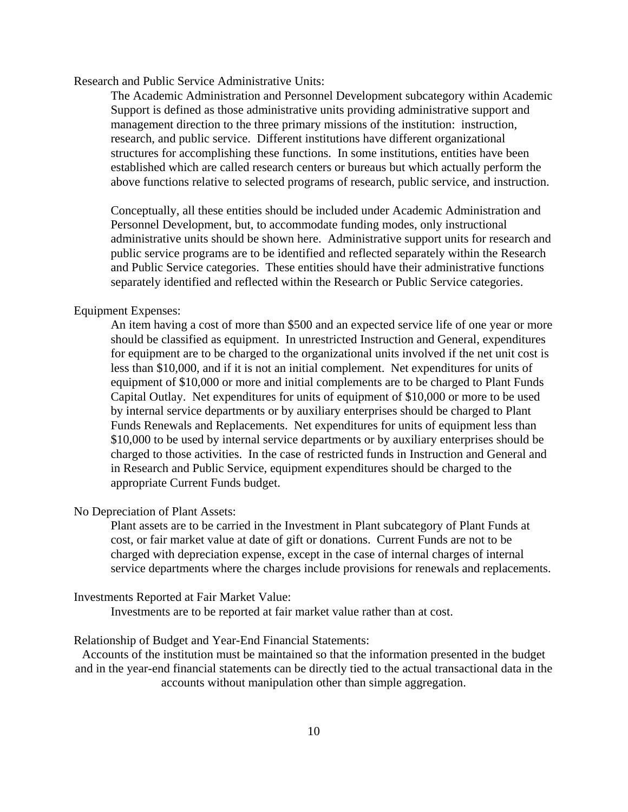Research and Public Service Administrative Units:

The Academic Administration and Personnel Development subcategory within Academic Support is defined as those administrative units providing administrative support and management direction to the three primary missions of the institution: instruction, research, and public service. Different institutions have different organizational structures for accomplishing these functions. In some institutions, entities have been established which are called research centers or bureaus but which actually perform the above functions relative to selected programs of research, public service, and instruction.

Conceptually, all these entities should be included under Academic Administration and Personnel Development, but, to accommodate funding modes, only instructional administrative units should be shown here. Administrative support units for research and public service programs are to be identified and reflected separately within the Research and Public Service categories. These entities should have their administrative functions separately identified and reflected within the Research or Public Service categories.

#### Equipment Expenses:

An item having a cost of more than \$500 and an expected service life of one year or more should be classified as equipment. In unrestricted Instruction and General, expenditures for equipment are to be charged to the organizational units involved if the net unit cost is less than \$10,000, and if it is not an initial complement. Net expenditures for units of equipment of \$10,000 or more and initial complements are to be charged to Plant Funds Capital Outlay. Net expenditures for units of equipment of \$10,000 or more to be used by internal service departments or by auxiliary enterprises should be charged to Plant Funds Renewals and Replacements. Net expenditures for units of equipment less than \$10,000 to be used by internal service departments or by auxiliary enterprises should be charged to those activities. In the case of restricted funds in Instruction and General and in Research and Public Service, equipment expenditures should be charged to the appropriate Current Funds budget.

#### No Depreciation of Plant Assets:

Plant assets are to be carried in the Investment in Plant subcategory of Plant Funds at cost, or fair market value at date of gift or donations. Current Funds are not to be charged with depreciation expense, except in the case of internal charges of internal service departments where the charges include provisions for renewals and replacements.

#### Investments Reported at Fair Market Value:

Investments are to be reported at fair market value rather than at cost.

Relationship of Budget and Year-End Financial Statements:

Accounts of the institution must be maintained so that the information presented in the budget and in the year-end financial statements can be directly tied to the actual transactional data in the accounts without manipulation other than simple aggregation.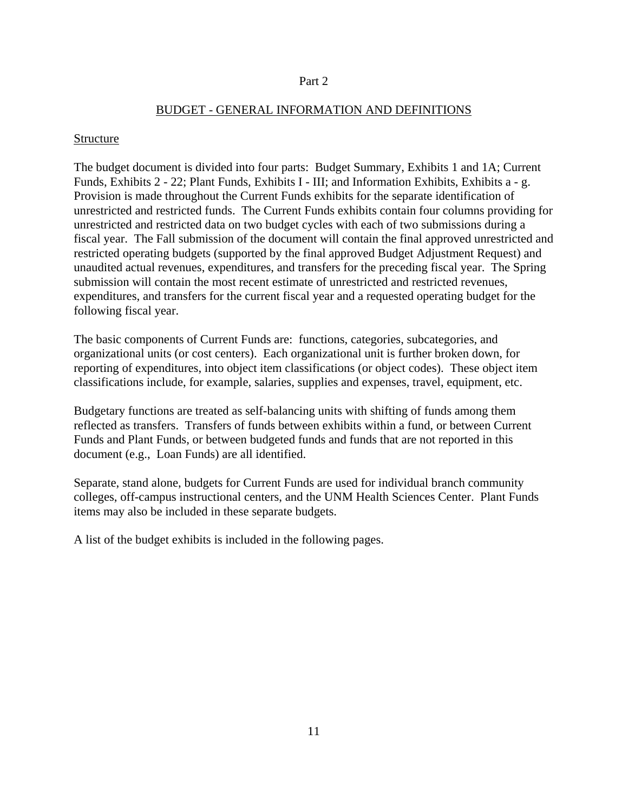#### Part 2

### BUDGET - GENERAL INFORMATION AND DEFINITIONS

#### Structure

The budget document is divided into four parts: Budget Summary, Exhibits 1 and 1A; Current Funds, Exhibits 2 - 22; Plant Funds, Exhibits I - III; and Information Exhibits, Exhibits a - g. Provision is made throughout the Current Funds exhibits for the separate identification of unrestricted and restricted funds. The Current Funds exhibits contain four columns providing for unrestricted and restricted data on two budget cycles with each of two submissions during a fiscal year. The Fall submission of the document will contain the final approved unrestricted and restricted operating budgets (supported by the final approved Budget Adjustment Request) and unaudited actual revenues, expenditures, and transfers for the preceding fiscal year. The Spring submission will contain the most recent estimate of unrestricted and restricted revenues, expenditures, and transfers for the current fiscal year and a requested operating budget for the following fiscal year.

The basic components of Current Funds are: functions, categories, subcategories, and organizational units (or cost centers). Each organizational unit is further broken down, for reporting of expenditures, into object item classifications (or object codes). These object item classifications include, for example, salaries, supplies and expenses, travel, equipment, etc.

Budgetary functions are treated as self-balancing units with shifting of funds among them reflected as transfers. Transfers of funds between exhibits within a fund, or between Current Funds and Plant Funds, or between budgeted funds and funds that are not reported in this document (e.g., Loan Funds) are all identified.

Separate, stand alone, budgets for Current Funds are used for individual branch community colleges, off-campus instructional centers, and the UNM Health Sciences Center. Plant Funds items may also be included in these separate budgets.

A list of the budget exhibits is included in the following pages.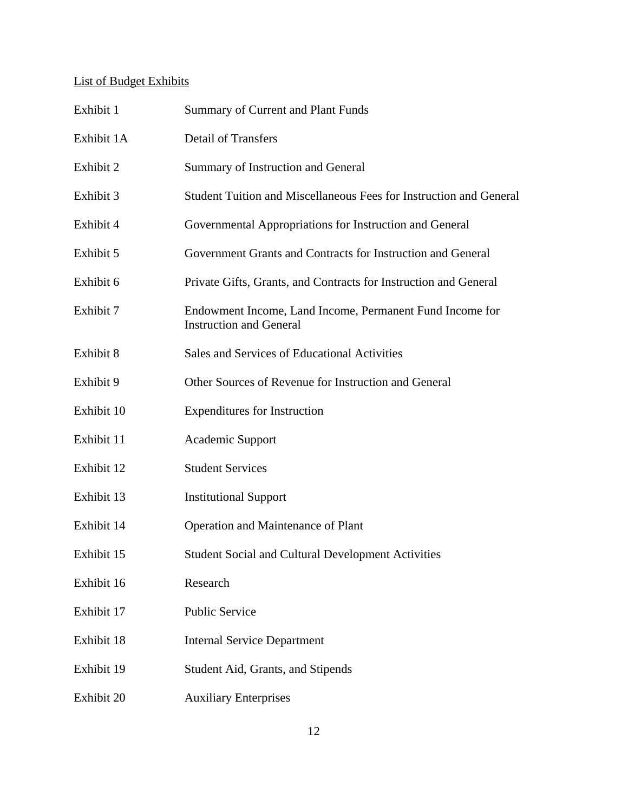# List of Budget Exhibits

| Exhibit 1  | <b>Summary of Current and Plant Funds</b>                                                  |
|------------|--------------------------------------------------------------------------------------------|
| Exhibit 1A | <b>Detail of Transfers</b>                                                                 |
| Exhibit 2  | Summary of Instruction and General                                                         |
| Exhibit 3  | Student Tuition and Miscellaneous Fees for Instruction and General                         |
| Exhibit 4  | Governmental Appropriations for Instruction and General                                    |
| Exhibit 5  | Government Grants and Contracts for Instruction and General                                |
| Exhibit 6  | Private Gifts, Grants, and Contracts for Instruction and General                           |
| Exhibit 7  | Endowment Income, Land Income, Permanent Fund Income for<br><b>Instruction and General</b> |
| Exhibit 8  | Sales and Services of Educational Activities                                               |
| Exhibit 9  | Other Sources of Revenue for Instruction and General                                       |
| Exhibit 10 | <b>Expenditures for Instruction</b>                                                        |
| Exhibit 11 | Academic Support                                                                           |
| Exhibit 12 | <b>Student Services</b>                                                                    |
| Exhibit 13 | <b>Institutional Support</b>                                                               |
| Exhibit 14 | Operation and Maintenance of Plant                                                         |
| Exhibit 15 | Student Social and Cultural Development Activities                                         |
| Exhibit 16 | Research                                                                                   |
| Exhibit 17 | <b>Public Service</b>                                                                      |
| Exhibit 18 | <b>Internal Service Department</b>                                                         |
| Exhibit 19 | Student Aid, Grants, and Stipends                                                          |
| Exhibit 20 | <b>Auxiliary Enterprises</b>                                                               |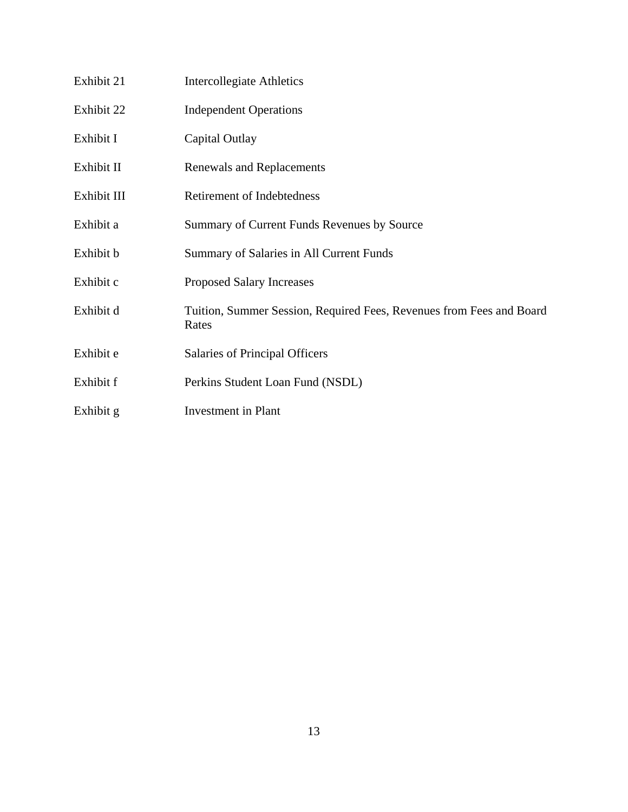| Exhibit 21  | Intercollegiate Athletics                                                     |
|-------------|-------------------------------------------------------------------------------|
| Exhibit 22  | <b>Independent Operations</b>                                                 |
| Exhibit I   | Capital Outlay                                                                |
| Exhibit II  | Renewals and Replacements                                                     |
| Exhibit III | <b>Retirement of Indebtedness</b>                                             |
| Exhibit a   | Summary of Current Funds Revenues by Source                                   |
| Exhibit b   | Summary of Salaries in All Current Funds                                      |
| Exhibit c   | <b>Proposed Salary Increases</b>                                              |
| Exhibit d   | Tuition, Summer Session, Required Fees, Revenues from Fees and Board<br>Rates |
| Exhibit e   | Salaries of Principal Officers                                                |
| Exhibit f   | Perkins Student Loan Fund (NSDL)                                              |
| Exhibit g   | <b>Investment</b> in Plant                                                    |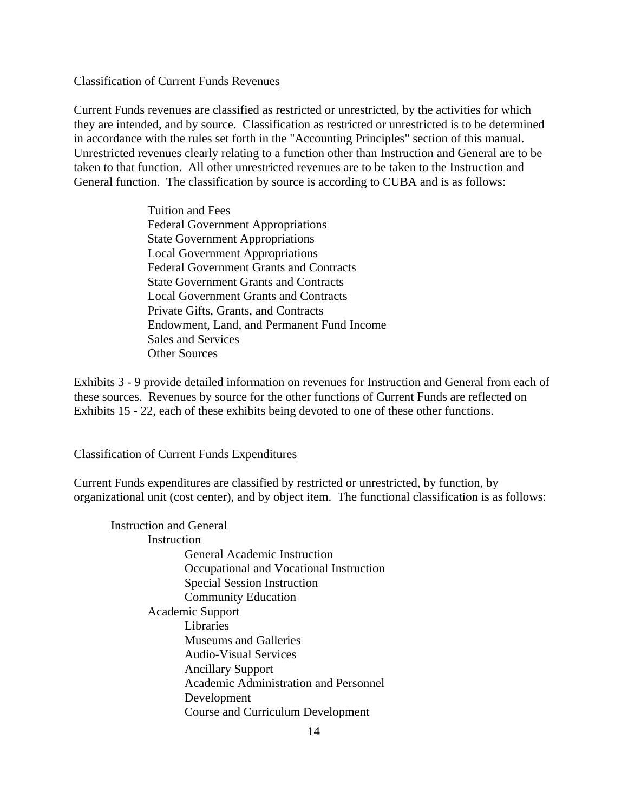#### Classification of Current Funds Revenues

Current Funds revenues are classified as restricted or unrestricted, by the activities for which they are intended, and by source. Classification as restricted or unrestricted is to be determined in accordance with the rules set forth in the "Accounting Principles" section of this manual. Unrestricted revenues clearly relating to a function other than Instruction and General are to be taken to that function. All other unrestricted revenues are to be taken to the Instruction and General function. The classification by source is according to CUBA and is as follows:

> Tuition and Fees Federal Government Appropriations State Government Appropriations Local Government Appropriations Federal Government Grants and Contracts State Government Grants and Contracts Local Government Grants and Contracts Private Gifts, Grants, and Contracts Endowment, Land, and Permanent Fund Income Sales and Services Other Sources

Exhibits 3 - 9 provide detailed information on revenues for Instruction and General from each of these sources. Revenues by source for the other functions of Current Funds are reflected on Exhibits 15 - 22, each of these exhibits being devoted to one of these other functions.

#### Classification of Current Funds Expenditures

Current Funds expenditures are classified by restricted or unrestricted, by function, by organizational unit (cost center), and by object item. The functional classification is as follows:

Instruction and General Instruction General Academic Instruction Occupational and Vocational Instruction Special Session Instruction Community Education Academic Support Libraries Museums and Galleries Audio-Visual Services Ancillary Support Academic Administration and Personnel Development Course and Curriculum Development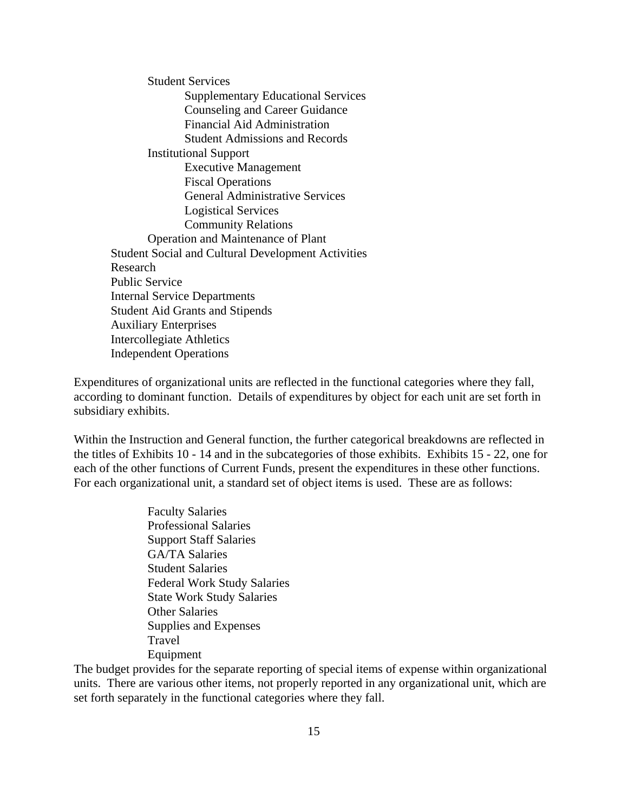Student Services Supplementary Educational Services Counseling and Career Guidance Financial Aid Administration Student Admissions and Records Institutional Support Executive Management Fiscal Operations General Administrative Services Logistical Services Community Relations Operation and Maintenance of Plant Student Social and Cultural Development Activities Research Public Service Internal Service Departments Student Aid Grants and Stipends Auxiliary Enterprises Intercollegiate Athletics Independent Operations

Expenditures of organizational units are reflected in the functional categories where they fall, according to dominant function. Details of expenditures by object for each unit are set forth in subsidiary exhibits.

Within the Instruction and General function, the further categorical breakdowns are reflected in the titles of Exhibits 10 - 14 and in the subcategories of those exhibits. Exhibits 15 - 22, one for each of the other functions of Current Funds, present the expenditures in these other functions. For each organizational unit, a standard set of object items is used. These are as follows:

> Faculty Salaries Professional Salaries Support Staff Salaries GA/TA Salaries Student Salaries Federal Work Study Salaries State Work Study Salaries Other Salaries Supplies and Expenses Travel Equipment

The budget provides for the separate reporting of special items of expense within organizational units. There are various other items, not properly reported in any organizational unit, which are set forth separately in the functional categories where they fall.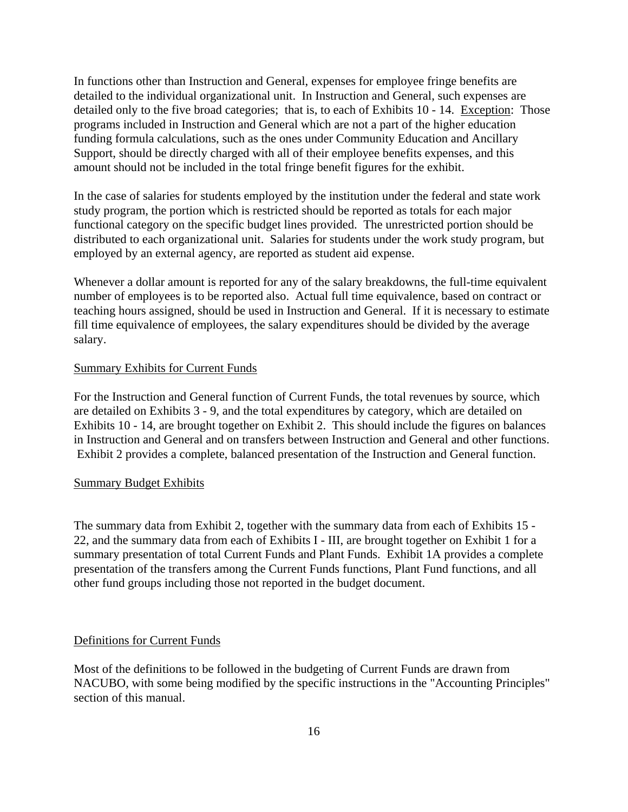In functions other than Instruction and General, expenses for employee fringe benefits are detailed to the individual organizational unit. In Instruction and General, such expenses are detailed only to the five broad categories; that is, to each of Exhibits 10 - 14. Exception: Those programs included in Instruction and General which are not a part of the higher education funding formula calculations, such as the ones under Community Education and Ancillary Support, should be directly charged with all of their employee benefits expenses, and this amount should not be included in the total fringe benefit figures for the exhibit.

In the case of salaries for students employed by the institution under the federal and state work study program, the portion which is restricted should be reported as totals for each major functional category on the specific budget lines provided. The unrestricted portion should be distributed to each organizational unit. Salaries for students under the work study program, but employed by an external agency, are reported as student aid expense.

Whenever a dollar amount is reported for any of the salary breakdowns, the full-time equivalent number of employees is to be reported also. Actual full time equivalence, based on contract or teaching hours assigned, should be used in Instruction and General. If it is necessary to estimate fill time equivalence of employees, the salary expenditures should be divided by the average salary.

#### Summary Exhibits for Current Funds

For the Instruction and General function of Current Funds, the total revenues by source, which are detailed on Exhibits 3 - 9, and the total expenditures by category, which are detailed on Exhibits 10 - 14, are brought together on Exhibit 2. This should include the figures on balances in Instruction and General and on transfers between Instruction and General and other functions. Exhibit 2 provides a complete, balanced presentation of the Instruction and General function.

#### Summary Budget Exhibits

The summary data from Exhibit 2, together with the summary data from each of Exhibits 15 - 22, and the summary data from each of Exhibits I - III, are brought together on Exhibit 1 for a summary presentation of total Current Funds and Plant Funds. Exhibit 1A provides a complete presentation of the transfers among the Current Funds functions, Plant Fund functions, and all other fund groups including those not reported in the budget document.

#### Definitions for Current Funds

Most of the definitions to be followed in the budgeting of Current Funds are drawn from NACUBO, with some being modified by the specific instructions in the "Accounting Principles" section of this manual.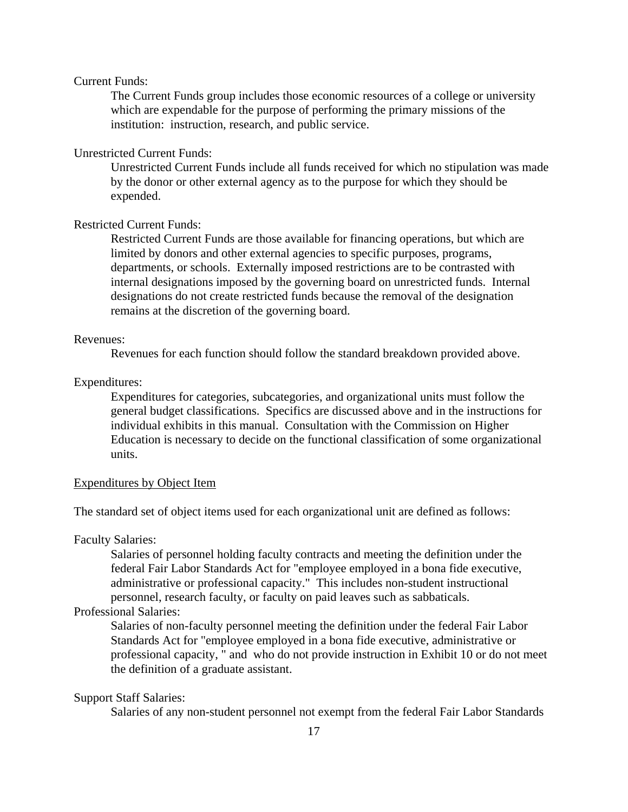#### Current Funds:

The Current Funds group includes those economic resources of a college or university which are expendable for the purpose of performing the primary missions of the institution: instruction, research, and public service.

#### Unrestricted Current Funds:

Unrestricted Current Funds include all funds received for which no stipulation was made by the donor or other external agency as to the purpose for which they should be expended.

#### Restricted Current Funds:

Restricted Current Funds are those available for financing operations, but which are limited by donors and other external agencies to specific purposes, programs, departments, or schools. Externally imposed restrictions are to be contrasted with internal designations imposed by the governing board on unrestricted funds. Internal designations do not create restricted funds because the removal of the designation remains at the discretion of the governing board.

#### Revenues:

Revenues for each function should follow the standard breakdown provided above.

#### Expenditures:

Expenditures for categories, subcategories, and organizational units must follow the general budget classifications. Specifics are discussed above and in the instructions for individual exhibits in this manual. Consultation with the Commission on Higher Education is necessary to decide on the functional classification of some organizational units.

#### Expenditures by Object Item

The standard set of object items used for each organizational unit are defined as follows:

#### Faculty Salaries:

Salaries of personnel holding faculty contracts and meeting the definition under the federal Fair Labor Standards Act for "employee employed in a bona fide executive, administrative or professional capacity." This includes non-student instructional personnel, research faculty, or faculty on paid leaves such as sabbaticals.

### Professional Salaries:

Salaries of non-faculty personnel meeting the definition under the federal Fair Labor Standards Act for "employee employed in a bona fide executive, administrative or professional capacity, " and who do not provide instruction in Exhibit 10 or do not meet the definition of a graduate assistant.

#### Support Staff Salaries:

Salaries of any non-student personnel not exempt from the federal Fair Labor Standards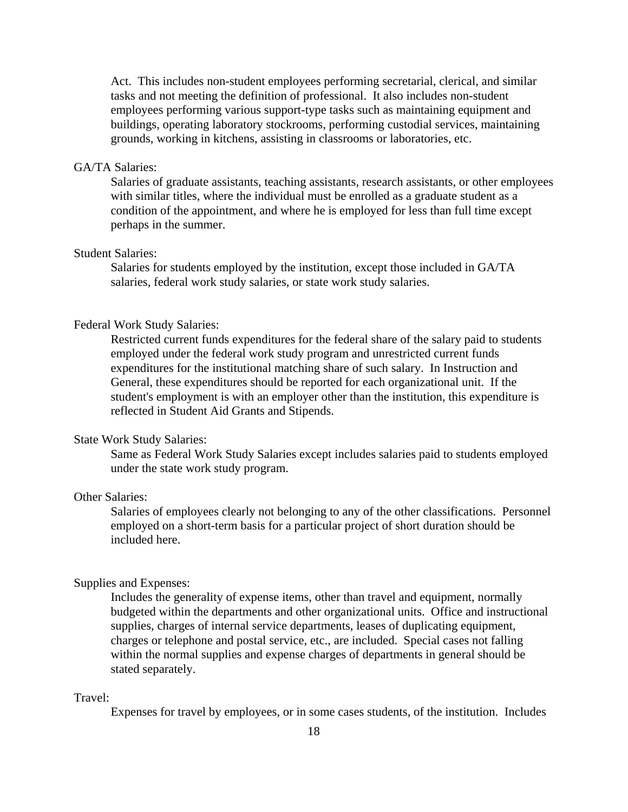Act. This includes non-student employees performing secretarial, clerical, and similar tasks and not meeting the definition of professional. It also includes non-student employees performing various support-type tasks such as maintaining equipment and buildings, operating laboratory stockrooms, performing custodial services, maintaining grounds, working in kitchens, assisting in classrooms or laboratories, etc.

#### GA/TA Salaries:

Salaries of graduate assistants, teaching assistants, research assistants, or other employees with similar titles, where the individual must be enrolled as a graduate student as a condition of the appointment, and where he is employed for less than full time except perhaps in the summer.

### Student Salaries:

Salaries for students employed by the institution, except those included in GA/TA salaries, federal work study salaries, or state work study salaries.

#### Federal Work Study Salaries:

Restricted current funds expenditures for the federal share of the salary paid to students employed under the federal work study program and unrestricted current funds expenditures for the institutional matching share of such salary. In Instruction and General, these expenditures should be reported for each organizational unit. If the student's employment is with an employer other than the institution, this expenditure is reflected in Student Aid Grants and Stipends.

### State Work Study Salaries:

Same as Federal Work Study Salaries except includes salaries paid to students employed under the state work study program.

### Other Salaries:

Salaries of employees clearly not belonging to any of the other classifications. Personnel employed on a short-term basis for a particular project of short duration should be included here.

#### Supplies and Expenses:

Includes the generality of expense items, other than travel and equipment, normally budgeted within the departments and other organizational units. Office and instructional supplies, charges of internal service departments, leases of duplicating equipment, charges or telephone and postal service, etc., are included. Special cases not falling within the normal supplies and expense charges of departments in general should be stated separately.

#### Travel:

Expenses for travel by employees, or in some cases students, of the institution. Includes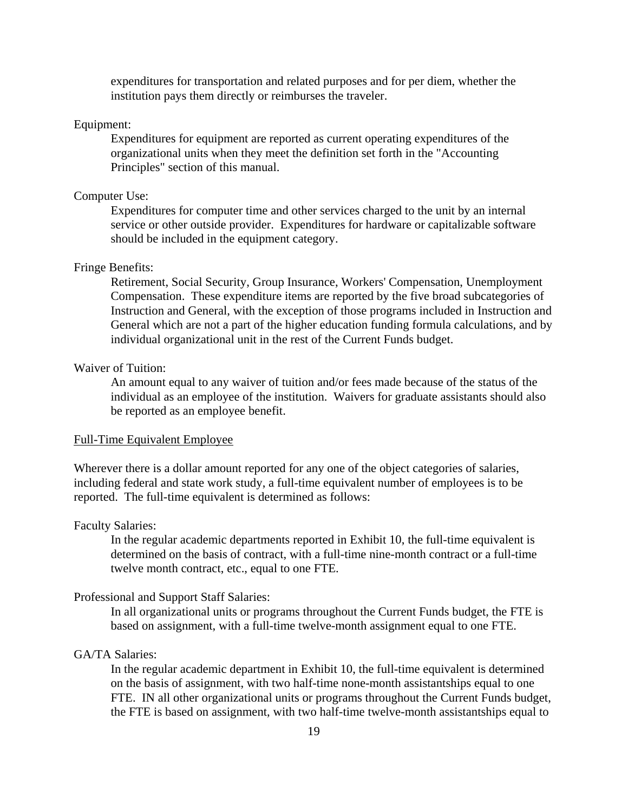expenditures for transportation and related purposes and for per diem, whether the institution pays them directly or reimburses the traveler.

#### Equipment:

Expenditures for equipment are reported as current operating expenditures of the organizational units when they meet the definition set forth in the "Accounting Principles" section of this manual.

#### Computer Use:

Expenditures for computer time and other services charged to the unit by an internal service or other outside provider. Expenditures for hardware or capitalizable software should be included in the equipment category.

#### Fringe Benefits:

Retirement, Social Security, Group Insurance, Workers' Compensation, Unemployment Compensation. These expenditure items are reported by the five broad subcategories of Instruction and General, with the exception of those programs included in Instruction and General which are not a part of the higher education funding formula calculations, and by individual organizational unit in the rest of the Current Funds budget.

#### Waiver of Tuition:

An amount equal to any waiver of tuition and/or fees made because of the status of the individual as an employee of the institution. Waivers for graduate assistants should also be reported as an employee benefit.

#### Full-Time Equivalent Employee

Wherever there is a dollar amount reported for any one of the object categories of salaries, including federal and state work study, a full-time equivalent number of employees is to be reported. The full-time equivalent is determined as follows:

#### Faculty Salaries:

In the regular academic departments reported in Exhibit 10, the full-time equivalent is determined on the basis of contract, with a full-time nine-month contract or a full-time twelve month contract, etc., equal to one FTE.

#### Professional and Support Staff Salaries:

In all organizational units or programs throughout the Current Funds budget, the FTE is based on assignment, with a full-time twelve-month assignment equal to one FTE.

# GA/TA Salaries:

In the regular academic department in Exhibit 10, the full-time equivalent is determined on the basis of assignment, with two half-time none-month assistantships equal to one FTE. IN all other organizational units or programs throughout the Current Funds budget, the FTE is based on assignment, with two half-time twelve-month assistantships equal to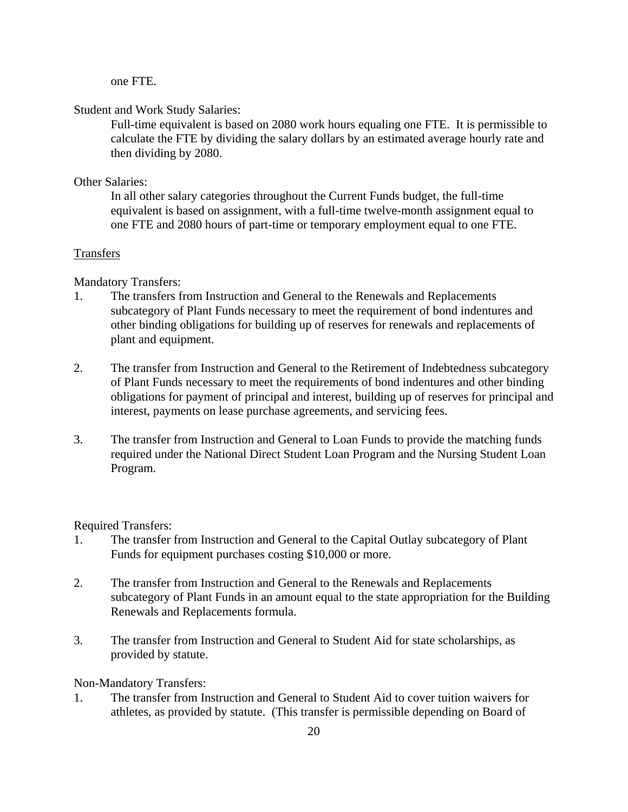one FTE.

#### Student and Work Study Salaries:

Full-time equivalent is based on 2080 work hours equaling one FTE. It is permissible to calculate the FTE by dividing the salary dollars by an estimated average hourly rate and then dividing by 2080.

#### Other Salaries:

In all other salary categories throughout the Current Funds budget, the full-time equivalent is based on assignment, with a full-time twelve-month assignment equal to one FTE and 2080 hours of part-time or temporary employment equal to one FTE.

### Transfers

#### Mandatory Transfers:

- 1. The transfers from Instruction and General to the Renewals and Replacements subcategory of Plant Funds necessary to meet the requirement of bond indentures and other binding obligations for building up of reserves for renewals and replacements of plant and equipment.
- 2. The transfer from Instruction and General to the Retirement of Indebtedness subcategory of Plant Funds necessary to meet the requirements of bond indentures and other binding obligations for payment of principal and interest, building up of reserves for principal and interest, payments on lease purchase agreements, and servicing fees.
- 3. The transfer from Instruction and General to Loan Funds to provide the matching funds required under the National Direct Student Loan Program and the Nursing Student Loan Program.

#### Required Transfers:

- 1. The transfer from Instruction and General to the Capital Outlay subcategory of Plant Funds for equipment purchases costing \$10,000 or more.
- 2. The transfer from Instruction and General to the Renewals and Replacements subcategory of Plant Funds in an amount equal to the state appropriation for the Building Renewals and Replacements formula.
- 3. The transfer from Instruction and General to Student Aid for state scholarships, as provided by statute.

#### Non-Mandatory Transfers:

1. The transfer from Instruction and General to Student Aid to cover tuition waivers for athletes, as provided by statute. (This transfer is permissible depending on Board of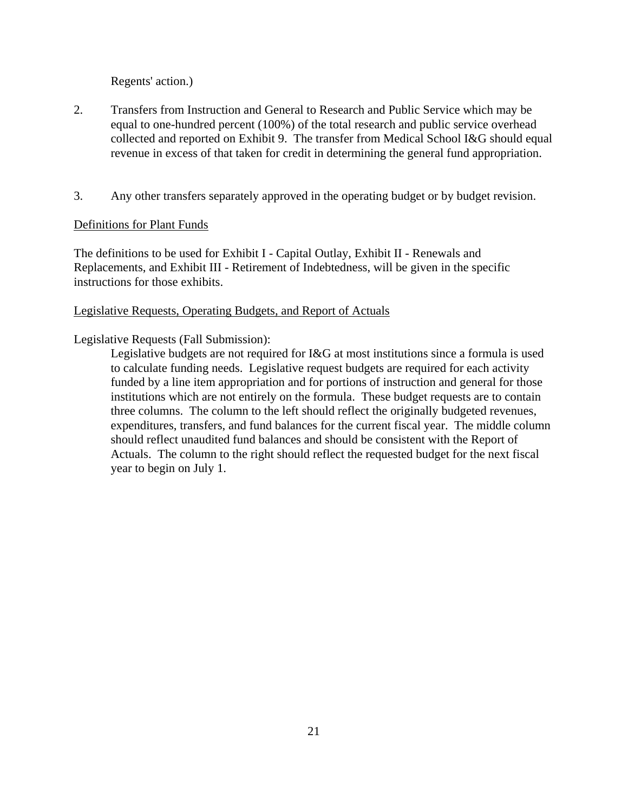Regents' action.)

- 2. Transfers from Instruction and General to Research and Public Service which may be equal to one-hundred percent (100%) of the total research and public service overhead collected and reported on Exhibit 9. The transfer from Medical School I&G should equal revenue in excess of that taken for credit in determining the general fund appropriation.
- 3. Any other transfers separately approved in the operating budget or by budget revision.

### Definitions for Plant Funds

The definitions to be used for Exhibit I - Capital Outlay, Exhibit II - Renewals and Replacements, and Exhibit III - Retirement of Indebtedness, will be given in the specific instructions for those exhibits.

### Legislative Requests, Operating Budgets, and Report of Actuals

### Legislative Requests (Fall Submission):

Legislative budgets are not required for I&G at most institutions since a formula is used to calculate funding needs. Legislative request budgets are required for each activity funded by a line item appropriation and for portions of instruction and general for those institutions which are not entirely on the formula. These budget requests are to contain three columns. The column to the left should reflect the originally budgeted revenues, expenditures, transfers, and fund balances for the current fiscal year. The middle column should reflect unaudited fund balances and should be consistent with the Report of Actuals. The column to the right should reflect the requested budget for the next fiscal year to begin on July 1.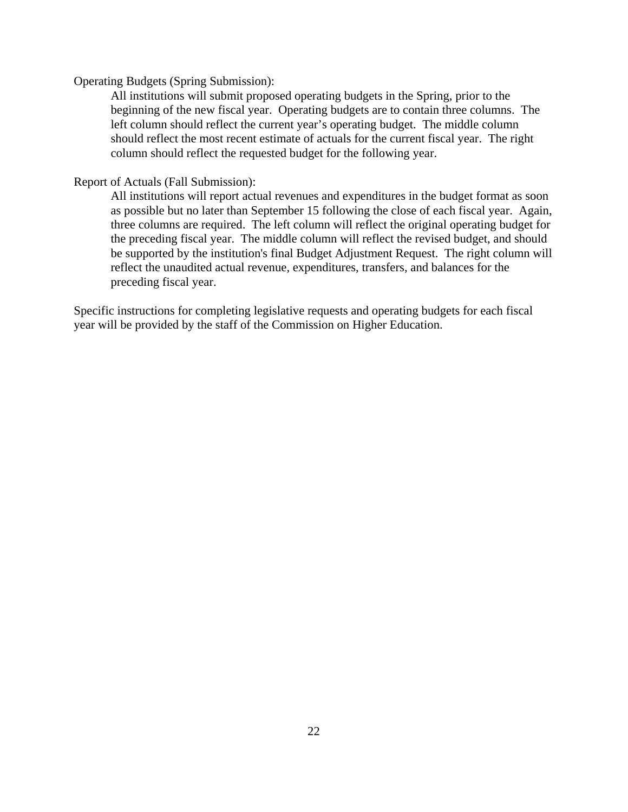#### Operating Budgets (Spring Submission):

All institutions will submit proposed operating budgets in the Spring, prior to the beginning of the new fiscal year. Operating budgets are to contain three columns. The left column should reflect the current year's operating budget. The middle column should reflect the most recent estimate of actuals for the current fiscal year. The right column should reflect the requested budget for the following year.

#### Report of Actuals (Fall Submission):

All institutions will report actual revenues and expenditures in the budget format as soon as possible but no later than September 15 following the close of each fiscal year. Again, three columns are required. The left column will reflect the original operating budget for the preceding fiscal year. The middle column will reflect the revised budget, and should be supported by the institution's final Budget Adjustment Request. The right column will reflect the unaudited actual revenue, expenditures, transfers, and balances for the preceding fiscal year.

Specific instructions for completing legislative requests and operating budgets for each fiscal year will be provided by the staff of the Commission on Higher Education.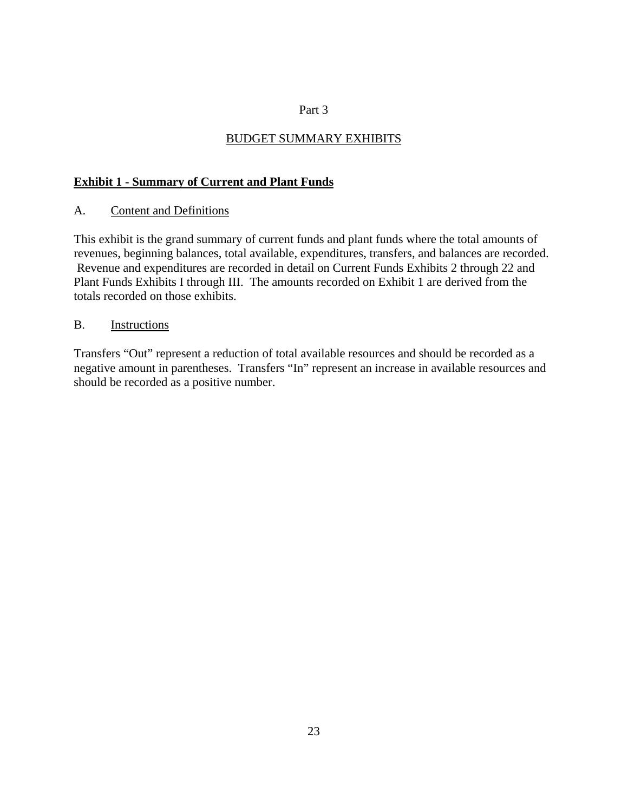### Part 3

# BUDGET SUMMARY EXHIBITS

### **Exhibit 1 - Summary of Current and Plant Funds**

### A. Content and Definitions

This exhibit is the grand summary of current funds and plant funds where the total amounts of revenues, beginning balances, total available, expenditures, transfers, and balances are recorded. Revenue and expenditures are recorded in detail on Current Funds Exhibits 2 through 22 and Plant Funds Exhibits I through III. The amounts recorded on Exhibit 1 are derived from the totals recorded on those exhibits.

### B. Instructions

Transfers "Out" represent a reduction of total available resources and should be recorded as a negative amount in parentheses. Transfers "In" represent an increase in available resources and should be recorded as a positive number.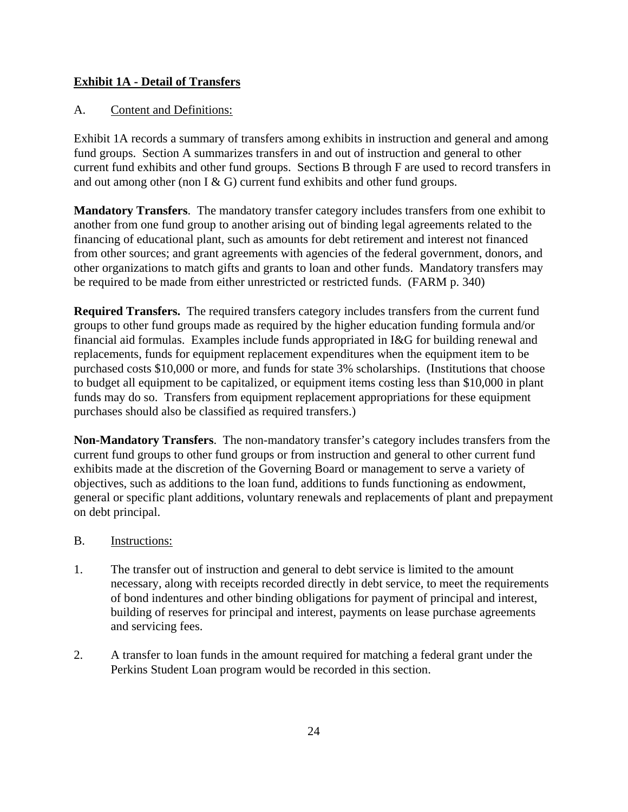# **Exhibit 1A - Detail of Transfers**

# A. Content and Definitions:

Exhibit 1A records a summary of transfers among exhibits in instruction and general and among fund groups. Section A summarizes transfers in and out of instruction and general to other current fund exhibits and other fund groups. Sections B through F are used to record transfers in and out among other (non I  $\&$  G) current fund exhibits and other fund groups.

**Mandatory Transfers**. The mandatory transfer category includes transfers from one exhibit to another from one fund group to another arising out of binding legal agreements related to the financing of educational plant, such as amounts for debt retirement and interest not financed from other sources; and grant agreements with agencies of the federal government, donors, and other organizations to match gifts and grants to loan and other funds. Mandatory transfers may be required to be made from either unrestricted or restricted funds. (FARM p. 340)

**Required Transfers.** The required transfers category includes transfers from the current fund groups to other fund groups made as required by the higher education funding formula and/or financial aid formulas. Examples include funds appropriated in I&G for building renewal and replacements, funds for equipment replacement expenditures when the equipment item to be purchased costs \$10,000 or more, and funds for state 3% scholarships. (Institutions that choose to budget all equipment to be capitalized, or equipment items costing less than \$10,000 in plant funds may do so. Transfers from equipment replacement appropriations for these equipment purchases should also be classified as required transfers.)

**Non-Mandatory Transfers**. The non-mandatory transfer's category includes transfers from the current fund groups to other fund groups or from instruction and general to other current fund exhibits made at the discretion of the Governing Board or management to serve a variety of objectives, such as additions to the loan fund, additions to funds functioning as endowment, general or specific plant additions, voluntary renewals and replacements of plant and prepayment on debt principal.

### B. Instructions:

- 1. The transfer out of instruction and general to debt service is limited to the amount necessary, along with receipts recorded directly in debt service, to meet the requirements of bond indentures and other binding obligations for payment of principal and interest, building of reserves for principal and interest, payments on lease purchase agreements and servicing fees.
- 2. A transfer to loan funds in the amount required for matching a federal grant under the Perkins Student Loan program would be recorded in this section.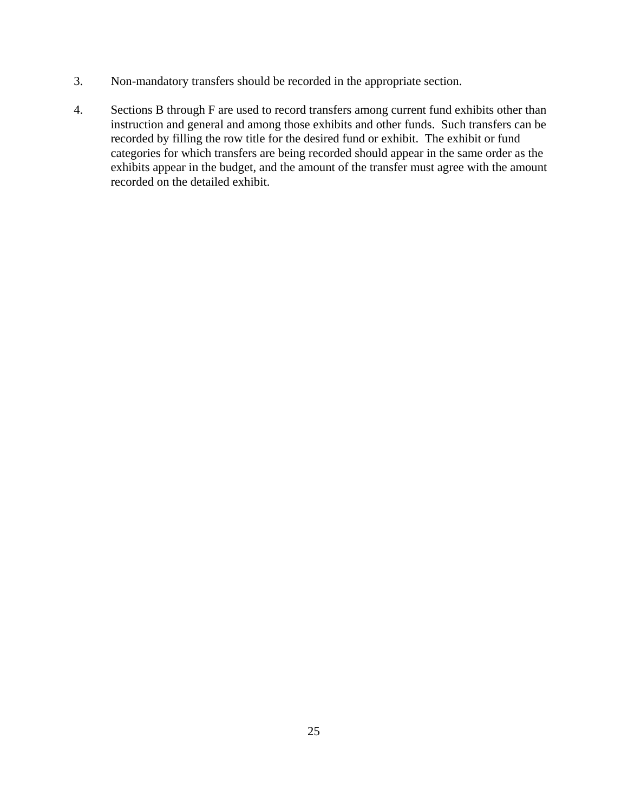- 3. Non-mandatory transfers should be recorded in the appropriate section.
- 4. Sections B through F are used to record transfers among current fund exhibits other than instruction and general and among those exhibits and other funds. Such transfers can be recorded by filling the row title for the desired fund or exhibit. The exhibit or fund categories for which transfers are being recorded should appear in the same order as the exhibits appear in the budget, and the amount of the transfer must agree with the amount recorded on the detailed exhibit.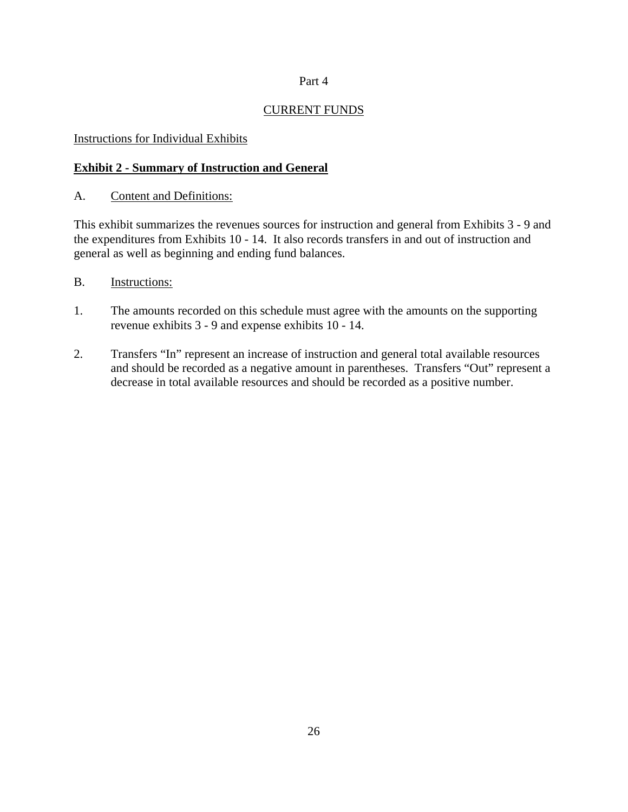### Part 4

# CURRENT FUNDS

### Instructions for Individual Exhibits

# **Exhibit 2 - Summary of Instruction and General**

### A. Content and Definitions:

This exhibit summarizes the revenues sources for instruction and general from Exhibits 3 - 9 and the expenditures from Exhibits 10 - 14. It also records transfers in and out of instruction and general as well as beginning and ending fund balances.

### B. Instructions:

- 1. The amounts recorded on this schedule must agree with the amounts on the supporting revenue exhibits 3 - 9 and expense exhibits 10 - 14.
- 2. Transfers "In" represent an increase of instruction and general total available resources and should be recorded as a negative amount in parentheses. Transfers "Out" represent a decrease in total available resources and should be recorded as a positive number.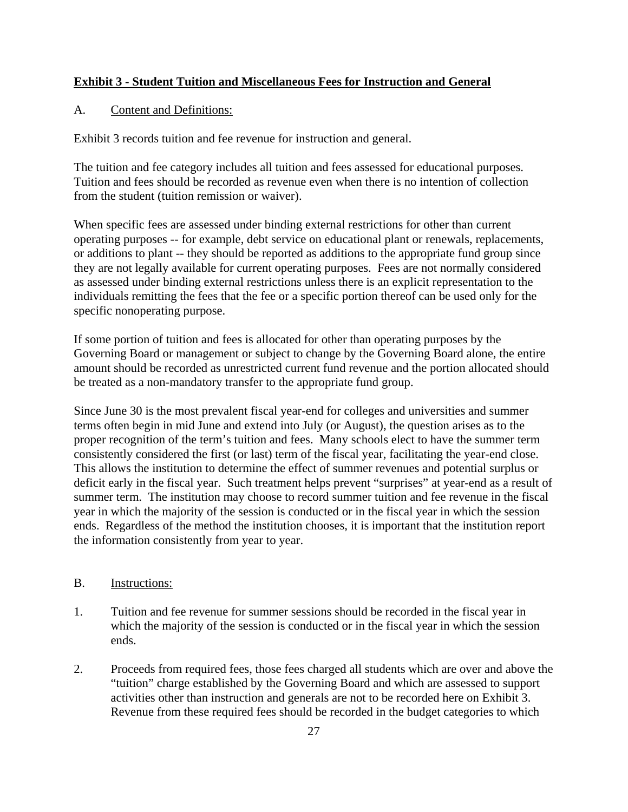# **Exhibit 3 - Student Tuition and Miscellaneous Fees for Instruction and General**

## A. Content and Definitions:

Exhibit 3 records tuition and fee revenue for instruction and general.

The tuition and fee category includes all tuition and fees assessed for educational purposes. Tuition and fees should be recorded as revenue even when there is no intention of collection from the student (tuition remission or waiver).

When specific fees are assessed under binding external restrictions for other than current operating purposes -- for example, debt service on educational plant or renewals, replacements, or additions to plant -- they should be reported as additions to the appropriate fund group since they are not legally available for current operating purposes. Fees are not normally considered as assessed under binding external restrictions unless there is an explicit representation to the individuals remitting the fees that the fee or a specific portion thereof can be used only for the specific nonoperating purpose.

If some portion of tuition and fees is allocated for other than operating purposes by the Governing Board or management or subject to change by the Governing Board alone, the entire amount should be recorded as unrestricted current fund revenue and the portion allocated should be treated as a non-mandatory transfer to the appropriate fund group.

Since June 30 is the most prevalent fiscal year-end for colleges and universities and summer terms often begin in mid June and extend into July (or August), the question arises as to the proper recognition of the term's tuition and fees. Many schools elect to have the summer term consistently considered the first (or last) term of the fiscal year, facilitating the year-end close. This allows the institution to determine the effect of summer revenues and potential surplus or deficit early in the fiscal year. Such treatment helps prevent "surprises" at year-end as a result of summer term. The institution may choose to record summer tuition and fee revenue in the fiscal year in which the majority of the session is conducted or in the fiscal year in which the session ends. Regardless of the method the institution chooses, it is important that the institution report the information consistently from year to year.

### B. Instructions:

- 1. Tuition and fee revenue for summer sessions should be recorded in the fiscal year in which the majority of the session is conducted or in the fiscal year in which the session ends.
- 2. Proceeds from required fees, those fees charged all students which are over and above the "tuition" charge established by the Governing Board and which are assessed to support activities other than instruction and generals are not to be recorded here on Exhibit 3. Revenue from these required fees should be recorded in the budget categories to which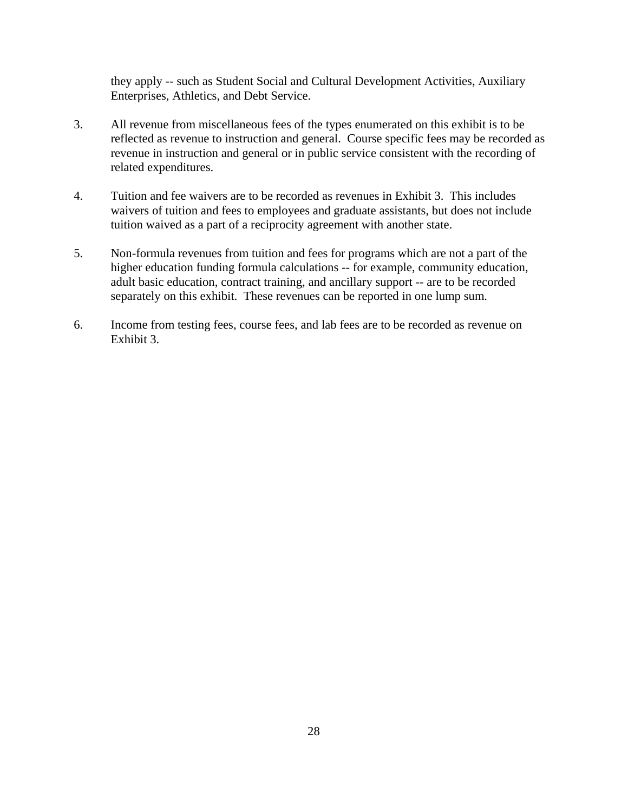they apply -- such as Student Social and Cultural Development Activities, Auxiliary Enterprises, Athletics, and Debt Service.

- 3. All revenue from miscellaneous fees of the types enumerated on this exhibit is to be reflected as revenue to instruction and general. Course specific fees may be recorded as revenue in instruction and general or in public service consistent with the recording of related expenditures.
- 4. Tuition and fee waivers are to be recorded as revenues in Exhibit 3. This includes waivers of tuition and fees to employees and graduate assistants, but does not include tuition waived as a part of a reciprocity agreement with another state.
- 5. Non-formula revenues from tuition and fees for programs which are not a part of the higher education funding formula calculations -- for example, community education, adult basic education, contract training, and ancillary support -- are to be recorded separately on this exhibit. These revenues can be reported in one lump sum.
- 6. Income from testing fees, course fees, and lab fees are to be recorded as revenue on Exhibit 3.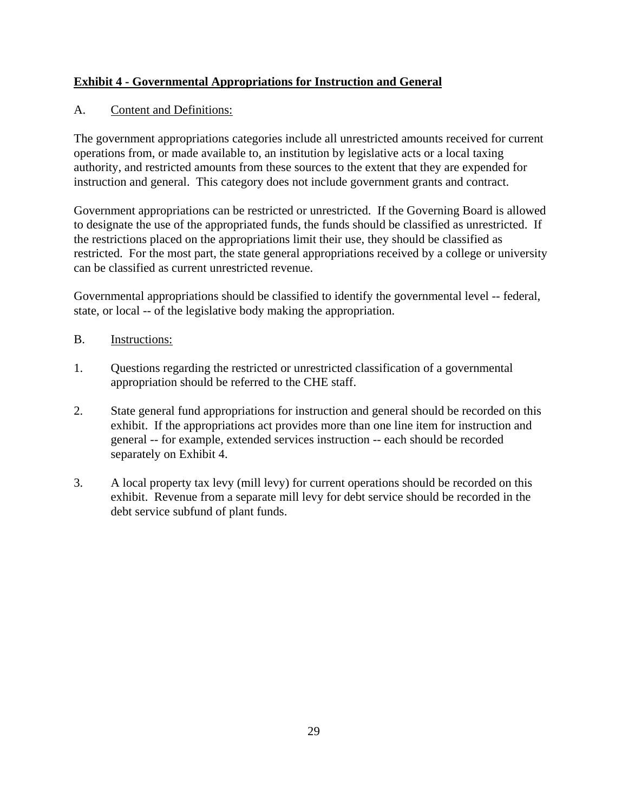# **Exhibit 4 - Governmental Appropriations for Instruction and General**

# A. Content and Definitions:

The government appropriations categories include all unrestricted amounts received for current operations from, or made available to, an institution by legislative acts or a local taxing authority, and restricted amounts from these sources to the extent that they are expended for instruction and general. This category does not include government grants and contract.

Government appropriations can be restricted or unrestricted. If the Governing Board is allowed to designate the use of the appropriated funds, the funds should be classified as unrestricted. If the restrictions placed on the appropriations limit their use, they should be classified as restricted. For the most part, the state general appropriations received by a college or university can be classified as current unrestricted revenue.

Governmental appropriations should be classified to identify the governmental level -- federal, state, or local -- of the legislative body making the appropriation.

- B. Instructions:
- 1. Questions regarding the restricted or unrestricted classification of a governmental appropriation should be referred to the CHE staff.
- 2. State general fund appropriations for instruction and general should be recorded on this exhibit. If the appropriations act provides more than one line item for instruction and general -- for example, extended services instruction -- each should be recorded separately on Exhibit 4.
- 3. A local property tax levy (mill levy) for current operations should be recorded on this exhibit. Revenue from a separate mill levy for debt service should be recorded in the debt service subfund of plant funds.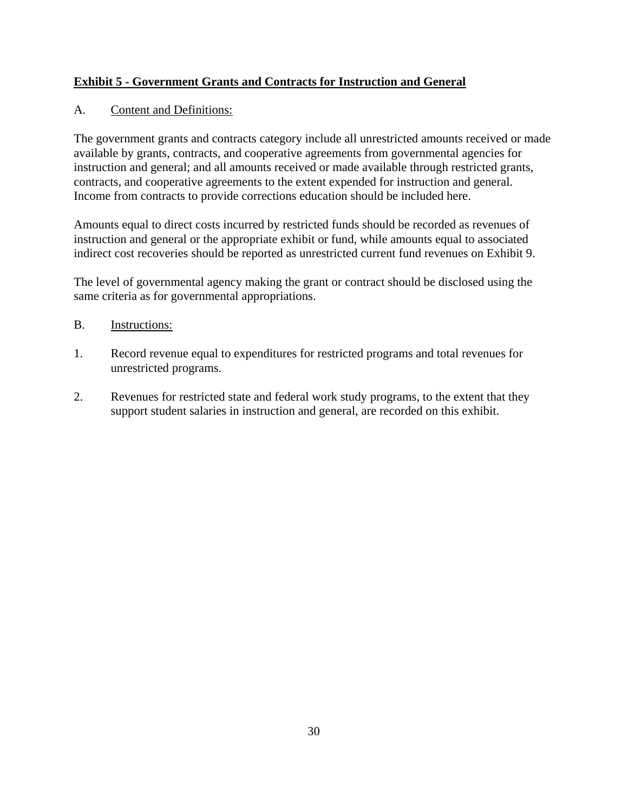# **Exhibit 5 - Government Grants and Contracts for Instruction and General**

# A. Content and Definitions:

The government grants and contracts category include all unrestricted amounts received or made available by grants, contracts, and cooperative agreements from governmental agencies for instruction and general; and all amounts received or made available through restricted grants, contracts, and cooperative agreements to the extent expended for instruction and general. Income from contracts to provide corrections education should be included here.

Amounts equal to direct costs incurred by restricted funds should be recorded as revenues of instruction and general or the appropriate exhibit or fund, while amounts equal to associated indirect cost recoveries should be reported as unrestricted current fund revenues on Exhibit 9.

The level of governmental agency making the grant or contract should be disclosed using the same criteria as for governmental appropriations.

- B. Instructions:
- 1. Record revenue equal to expenditures for restricted programs and total revenues for unrestricted programs.
- 2. Revenues for restricted state and federal work study programs, to the extent that they support student salaries in instruction and general, are recorded on this exhibit.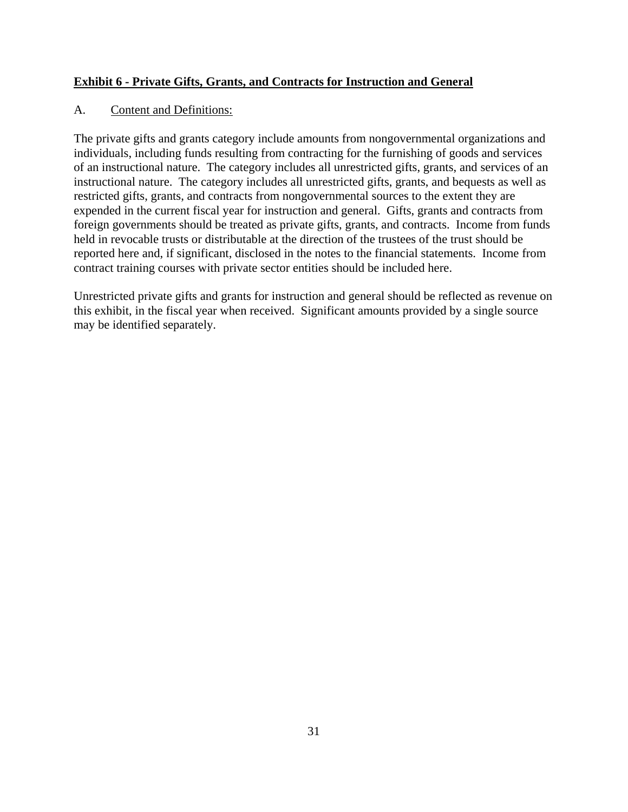# **Exhibit 6 - Private Gifts, Grants, and Contracts for Instruction and General**

# A. Content and Definitions:

The private gifts and grants category include amounts from nongovernmental organizations and individuals, including funds resulting from contracting for the furnishing of goods and services of an instructional nature. The category includes all unrestricted gifts, grants, and services of an instructional nature. The category includes all unrestricted gifts, grants, and bequests as well as restricted gifts, grants, and contracts from nongovernmental sources to the extent they are expended in the current fiscal year for instruction and general. Gifts, grants and contracts from foreign governments should be treated as private gifts, grants, and contracts. Income from funds held in revocable trusts or distributable at the direction of the trustees of the trust should be reported here and, if significant, disclosed in the notes to the financial statements. Income from contract training courses with private sector entities should be included here.

Unrestricted private gifts and grants for instruction and general should be reflected as revenue on this exhibit, in the fiscal year when received. Significant amounts provided by a single source may be identified separately.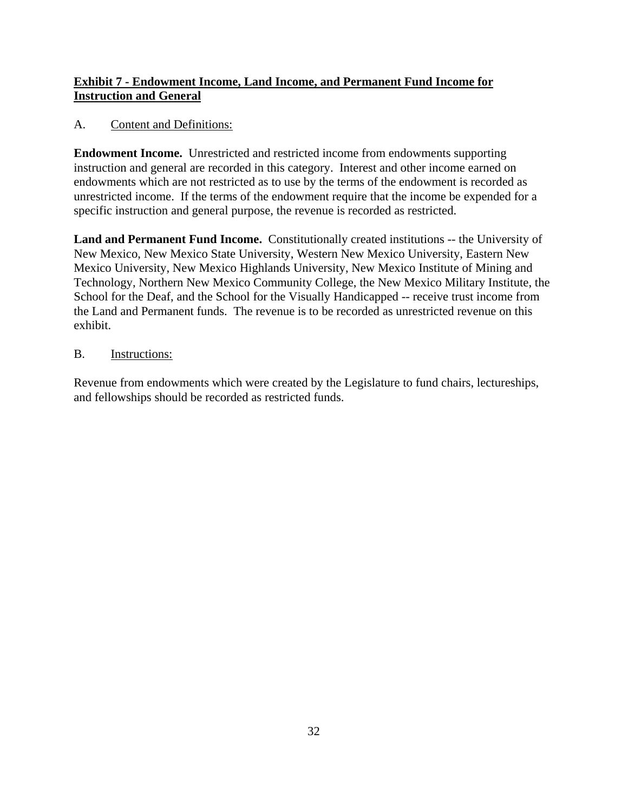# **Exhibit 7 - Endowment Income, Land Income, and Permanent Fund Income for Instruction and General**

# A. Content and Definitions:

**Endowment Income.** Unrestricted and restricted income from endowments supporting instruction and general are recorded in this category. Interest and other income earned on endowments which are not restricted as to use by the terms of the endowment is recorded as unrestricted income. If the terms of the endowment require that the income be expended for a specific instruction and general purpose, the revenue is recorded as restricted.

**Land and Permanent Fund Income.** Constitutionally created institutions -- the University of New Mexico, New Mexico State University, Western New Mexico University, Eastern New Mexico University, New Mexico Highlands University, New Mexico Institute of Mining and Technology, Northern New Mexico Community College, the New Mexico Military Institute, the School for the Deaf, and the School for the Visually Handicapped -- receive trust income from the Land and Permanent funds. The revenue is to be recorded as unrestricted revenue on this exhibit.

# B. Instructions:

Revenue from endowments which were created by the Legislature to fund chairs, lectureships, and fellowships should be recorded as restricted funds.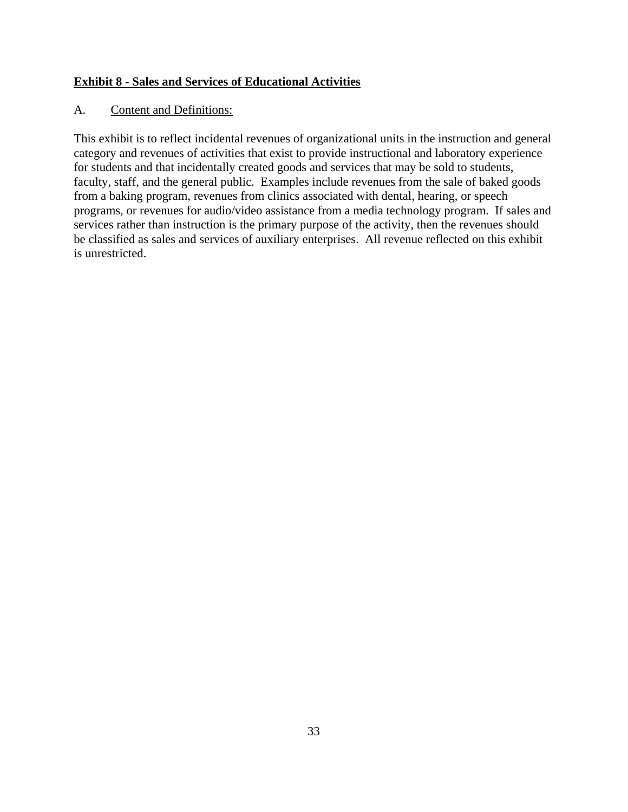# **Exhibit 8 - Sales and Services of Educational Activities**

## A. Content and Definitions:

This exhibit is to reflect incidental revenues of organizational units in the instruction and general category and revenues of activities that exist to provide instructional and laboratory experience for students and that incidentally created goods and services that may be sold to students, faculty, staff, and the general public. Examples include revenues from the sale of baked goods from a baking program, revenues from clinics associated with dental, hearing, or speech programs, or revenues for audio/video assistance from a media technology program. If sales and services rather than instruction is the primary purpose of the activity, then the revenues should be classified as sales and services of auxiliary enterprises. All revenue reflected on this exhibit is unrestricted.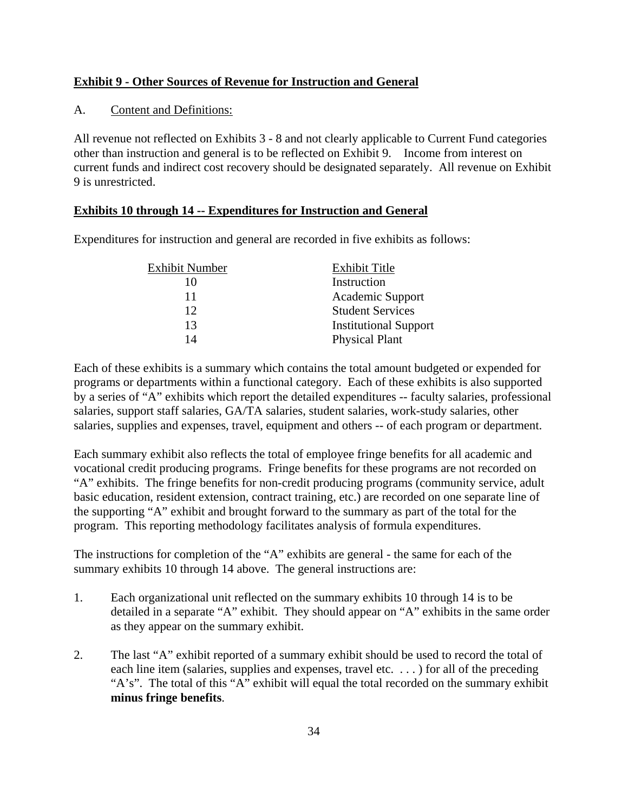# **Exhibit 9 - Other Sources of Revenue for Instruction and General**

# A. Content and Definitions:

All revenue not reflected on Exhibits 3 - 8 and not clearly applicable to Current Fund categories other than instruction and general is to be reflected on Exhibit 9. Income from interest on current funds and indirect cost recovery should be designated separately. All revenue on Exhibit 9 is unrestricted.

# **Exhibits 10 through 14 -- Expenditures for Instruction and General**

Expenditures for instruction and general are recorded in five exhibits as follows:

| Exhibit Number | <b>Exhibit Title</b>         |
|----------------|------------------------------|
| 10             | Instruction                  |
| 11             | Academic Support             |
| 12             | <b>Student Services</b>      |
| 13             | <b>Institutional Support</b> |
| 14             | <b>Physical Plant</b>        |

Each of these exhibits is a summary which contains the total amount budgeted or expended for programs or departments within a functional category. Each of these exhibits is also supported by a series of "A" exhibits which report the detailed expenditures -- faculty salaries, professional salaries, support staff salaries, GA/TA salaries, student salaries, work-study salaries, other salaries, supplies and expenses, travel, equipment and others -- of each program or department.

Each summary exhibit also reflects the total of employee fringe benefits for all academic and vocational credit producing programs. Fringe benefits for these programs are not recorded on "A" exhibits. The fringe benefits for non-credit producing programs (community service, adult basic education, resident extension, contract training, etc.) are recorded on one separate line of the supporting "A" exhibit and brought forward to the summary as part of the total for the program. This reporting methodology facilitates analysis of formula expenditures.

The instructions for completion of the "A" exhibits are general - the same for each of the summary exhibits 10 through 14 above. The general instructions are:

- 1. Each organizational unit reflected on the summary exhibits 10 through 14 is to be detailed in a separate "A" exhibit. They should appear on "A" exhibits in the same order as they appear on the summary exhibit.
- 2. The last "A" exhibit reported of a summary exhibit should be used to record the total of each line item (salaries, supplies and expenses, travel etc. ...) for all of the preceding "A's". The total of this "A" exhibit will equal the total recorded on the summary exhibit **minus fringe benefits**.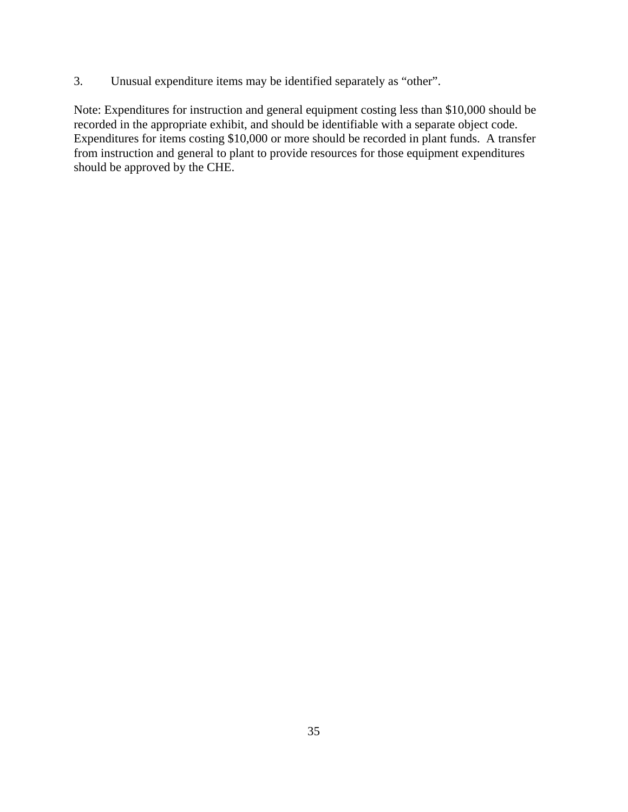3. Unusual expenditure items may be identified separately as "other".

Note: Expenditures for instruction and general equipment costing less than \$10,000 should be recorded in the appropriate exhibit, and should be identifiable with a separate object code. Expenditures for items costing \$10,000 or more should be recorded in plant funds. A transfer from instruction and general to plant to provide resources for those equipment expenditures should be approved by the CHE.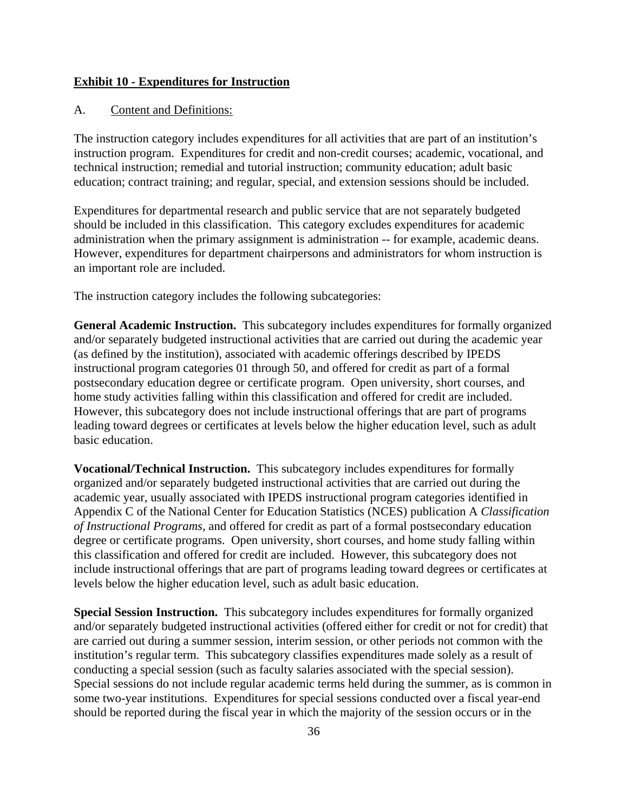#### **Exhibit 10 - Expenditures for Instruction**

#### A. Content and Definitions:

The instruction category includes expenditures for all activities that are part of an institution's instruction program. Expenditures for credit and non-credit courses; academic, vocational, and technical instruction; remedial and tutorial instruction; community education; adult basic education; contract training; and regular, special, and extension sessions should be included.

Expenditures for departmental research and public service that are not separately budgeted should be included in this classification. This category excludes expenditures for academic administration when the primary assignment is administration -- for example, academic deans. However, expenditures for department chairpersons and administrators for whom instruction is an important role are included.

The instruction category includes the following subcategories:

**General Academic Instruction.** This subcategory includes expenditures for formally organized and/or separately budgeted instructional activities that are carried out during the academic year (as defined by the institution), associated with academic offerings described by IPEDS instructional program categories 01 through 50, and offered for credit as part of a formal postsecondary education degree or certificate program. Open university, short courses, and home study activities falling within this classification and offered for credit are included. However, this subcategory does not include instructional offerings that are part of programs leading toward degrees or certificates at levels below the higher education level, such as adult basic education.

**Vocational/Technical Instruction.** This subcategory includes expenditures for formally organized and/or separately budgeted instructional activities that are carried out during the academic year, usually associated with IPEDS instructional program categories identified in Appendix C of the National Center for Education Statistics (NCES) publication A *Classification of Instructional Programs*, and offered for credit as part of a formal postsecondary education degree or certificate programs. Open university, short courses, and home study falling within this classification and offered for credit are included. However, this subcategory does not include instructional offerings that are part of programs leading toward degrees or certificates at levels below the higher education level, such as adult basic education.

**Special Session Instruction.** This subcategory includes expenditures for formally organized and/or separately budgeted instructional activities (offered either for credit or not for credit) that are carried out during a summer session, interim session, or other periods not common with the institution's regular term. This subcategory classifies expenditures made solely as a result of conducting a special session (such as faculty salaries associated with the special session). Special sessions do not include regular academic terms held during the summer, as is common in some two-year institutions. Expenditures for special sessions conducted over a fiscal year-end should be reported during the fiscal year in which the majority of the session occurs or in the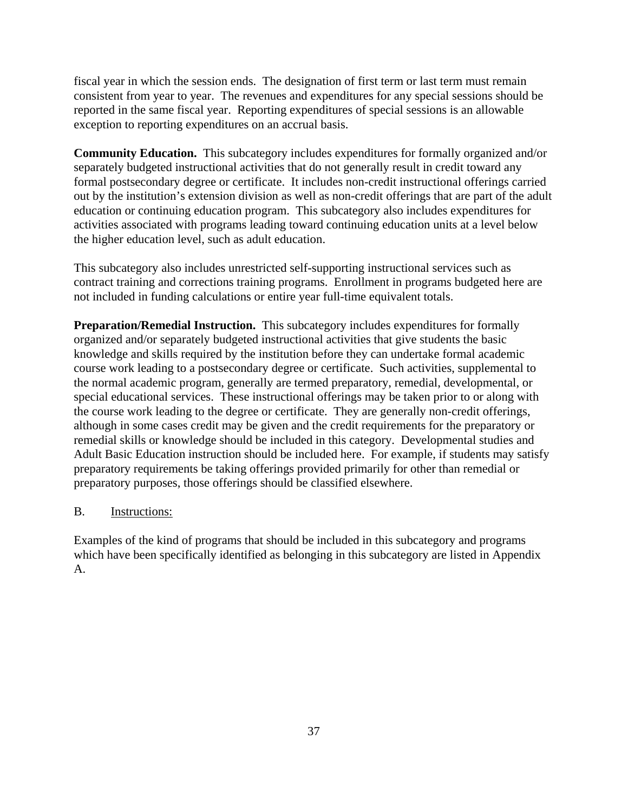fiscal year in which the session ends. The designation of first term or last term must remain consistent from year to year. The revenues and expenditures for any special sessions should be reported in the same fiscal year. Reporting expenditures of special sessions is an allowable exception to reporting expenditures on an accrual basis.

**Community Education.** This subcategory includes expenditures for formally organized and/or separately budgeted instructional activities that do not generally result in credit toward any formal postsecondary degree or certificate. It includes non-credit instructional offerings carried out by the institution's extension division as well as non-credit offerings that are part of the adult education or continuing education program. This subcategory also includes expenditures for activities associated with programs leading toward continuing education units at a level below the higher education level, such as adult education.

This subcategory also includes unrestricted self-supporting instructional services such as contract training and corrections training programs. Enrollment in programs budgeted here are not included in funding calculations or entire year full-time equivalent totals.

**Preparation/Remedial Instruction.** This subcategory includes expenditures for formally organized and/or separately budgeted instructional activities that give students the basic knowledge and skills required by the institution before they can undertake formal academic course work leading to a postsecondary degree or certificate. Such activities, supplemental to the normal academic program, generally are termed preparatory, remedial, developmental, or special educational services. These instructional offerings may be taken prior to or along with the course work leading to the degree or certificate. They are generally non-credit offerings, although in some cases credit may be given and the credit requirements for the preparatory or remedial skills or knowledge should be included in this category. Developmental studies and Adult Basic Education instruction should be included here. For example, if students may satisfy preparatory requirements be taking offerings provided primarily for other than remedial or preparatory purposes, those offerings should be classified elsewhere.

### B. Instructions:

Examples of the kind of programs that should be included in this subcategory and programs which have been specifically identified as belonging in this subcategory are listed in Appendix A.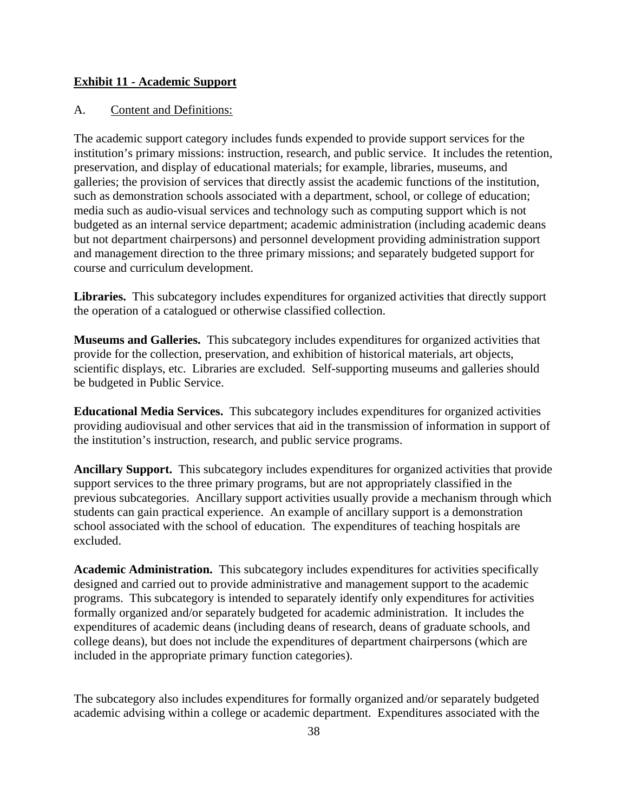#### **Exhibit 11 - Academic Support**

#### A. Content and Definitions:

The academic support category includes funds expended to provide support services for the institution's primary missions: instruction, research, and public service. It includes the retention, preservation, and display of educational materials; for example, libraries, museums, and galleries; the provision of services that directly assist the academic functions of the institution, such as demonstration schools associated with a department, school, or college of education; media such as audio-visual services and technology such as computing support which is not budgeted as an internal service department; academic administration (including academic deans but not department chairpersons) and personnel development providing administration support and management direction to the three primary missions; and separately budgeted support for course and curriculum development.

**Libraries.** This subcategory includes expenditures for organized activities that directly support the operation of a catalogued or otherwise classified collection.

**Museums and Galleries.** This subcategory includes expenditures for organized activities that provide for the collection, preservation, and exhibition of historical materials, art objects, scientific displays, etc. Libraries are excluded. Self-supporting museums and galleries should be budgeted in Public Service.

**Educational Media Services.** This subcategory includes expenditures for organized activities providing audiovisual and other services that aid in the transmission of information in support of the institution's instruction, research, and public service programs.

**Ancillary Support.** This subcategory includes expenditures for organized activities that provide support services to the three primary programs, but are not appropriately classified in the previous subcategories. Ancillary support activities usually provide a mechanism through which students can gain practical experience. An example of ancillary support is a demonstration school associated with the school of education. The expenditures of teaching hospitals are excluded.

**Academic Administration.** This subcategory includes expenditures for activities specifically designed and carried out to provide administrative and management support to the academic programs. This subcategory is intended to separately identify only expenditures for activities formally organized and/or separately budgeted for academic administration. It includes the expenditures of academic deans (including deans of research, deans of graduate schools, and college deans), but does not include the expenditures of department chairpersons (which are included in the appropriate primary function categories).

The subcategory also includes expenditures for formally organized and/or separately budgeted academic advising within a college or academic department. Expenditures associated with the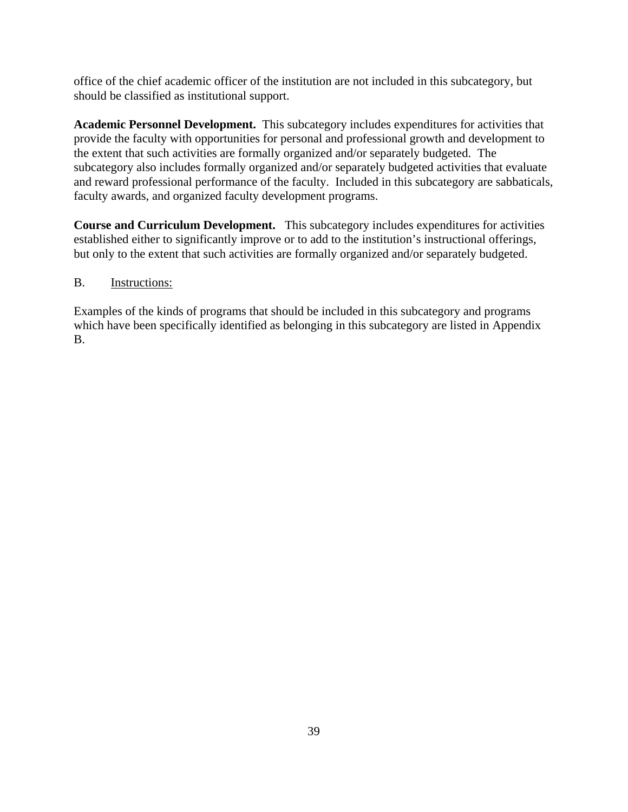office of the chief academic officer of the institution are not included in this subcategory, but should be classified as institutional support.

**Academic Personnel Development.** This subcategory includes expenditures for activities that provide the faculty with opportunities for personal and professional growth and development to the extent that such activities are formally organized and/or separately budgeted. The subcategory also includes formally organized and/or separately budgeted activities that evaluate and reward professional performance of the faculty. Included in this subcategory are sabbaticals, faculty awards, and organized faculty development programs.

**Course and Curriculum Development.** This subcategory includes expenditures for activities established either to significantly improve or to add to the institution's instructional offerings, but only to the extent that such activities are formally organized and/or separately budgeted.

# B. Instructions:

Examples of the kinds of programs that should be included in this subcategory and programs which have been specifically identified as belonging in this subcategory are listed in Appendix B.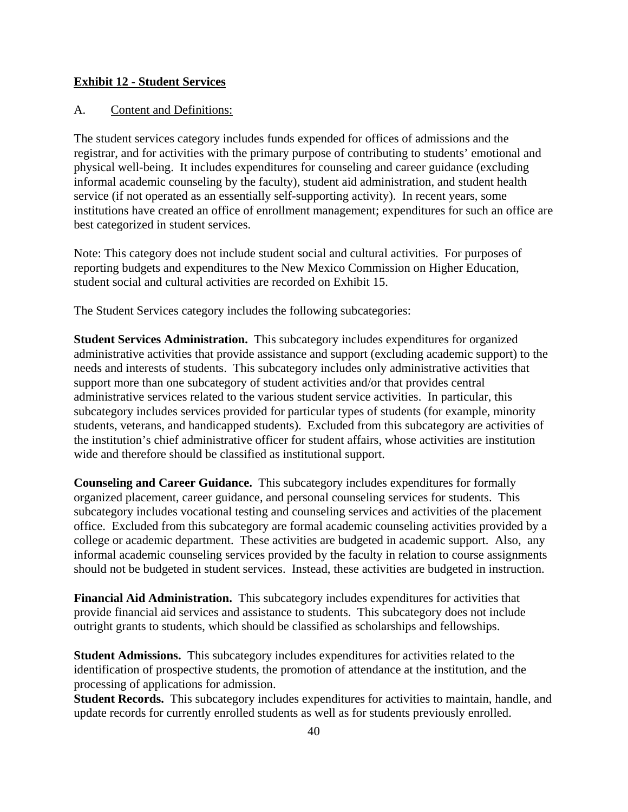#### **Exhibit 12 - Student Services**

#### A. Content and Definitions:

The student services category includes funds expended for offices of admissions and the registrar, and for activities with the primary purpose of contributing to students' emotional and physical well-being. It includes expenditures for counseling and career guidance (excluding informal academic counseling by the faculty), student aid administration, and student health service (if not operated as an essentially self-supporting activity). In recent years, some institutions have created an office of enrollment management; expenditures for such an office are best categorized in student services.

Note: This category does not include student social and cultural activities. For purposes of reporting budgets and expenditures to the New Mexico Commission on Higher Education, student social and cultural activities are recorded on Exhibit 15.

The Student Services category includes the following subcategories:

**Student Services Administration.** This subcategory includes expenditures for organized administrative activities that provide assistance and support (excluding academic support) to the needs and interests of students. This subcategory includes only administrative activities that support more than one subcategory of student activities and/or that provides central administrative services related to the various student service activities. In particular, this subcategory includes services provided for particular types of students (for example, minority students, veterans, and handicapped students). Excluded from this subcategory are activities of the institution's chief administrative officer for student affairs, whose activities are institution wide and therefore should be classified as institutional support.

**Counseling and Career Guidance.** This subcategory includes expenditures for formally organized placement, career guidance, and personal counseling services for students. This subcategory includes vocational testing and counseling services and activities of the placement office. Excluded from this subcategory are formal academic counseling activities provided by a college or academic department. These activities are budgeted in academic support. Also, any informal academic counseling services provided by the faculty in relation to course assignments should not be budgeted in student services. Instead, these activities are budgeted in instruction.

**Financial Aid Administration.** This subcategory includes expenditures for activities that provide financial aid services and assistance to students. This subcategory does not include outright grants to students, which should be classified as scholarships and fellowships.

**Student Admissions.** This subcategory includes expenditures for activities related to the identification of prospective students, the promotion of attendance at the institution, and the processing of applications for admission.

**Student Records.** This subcategory includes expenditures for activities to maintain, handle, and update records for currently enrolled students as well as for students previously enrolled.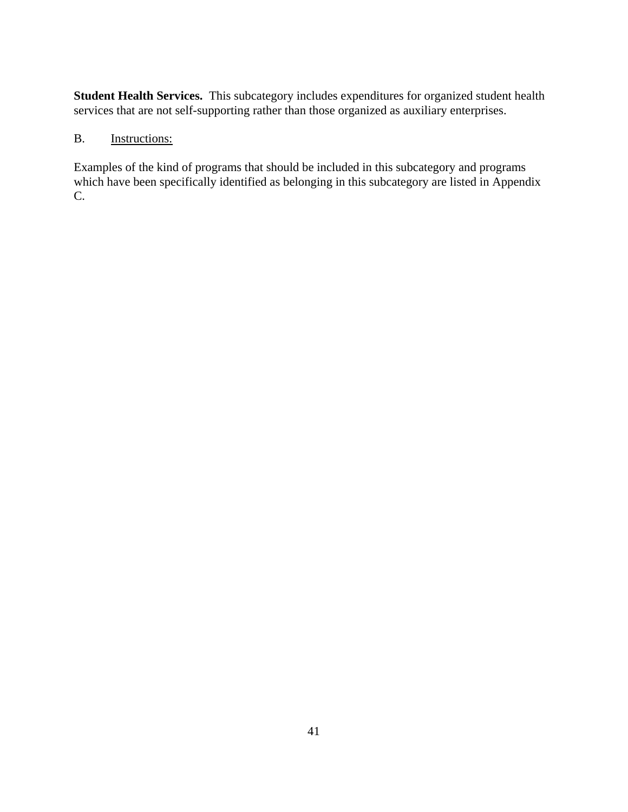**Student Health Services.** This subcategory includes expenditures for organized student health services that are not self-supporting rather than those organized as auxiliary enterprises.

# B. **Instructions:**

Examples of the kind of programs that should be included in this subcategory and programs which have been specifically identified as belonging in this subcategory are listed in Appendix C.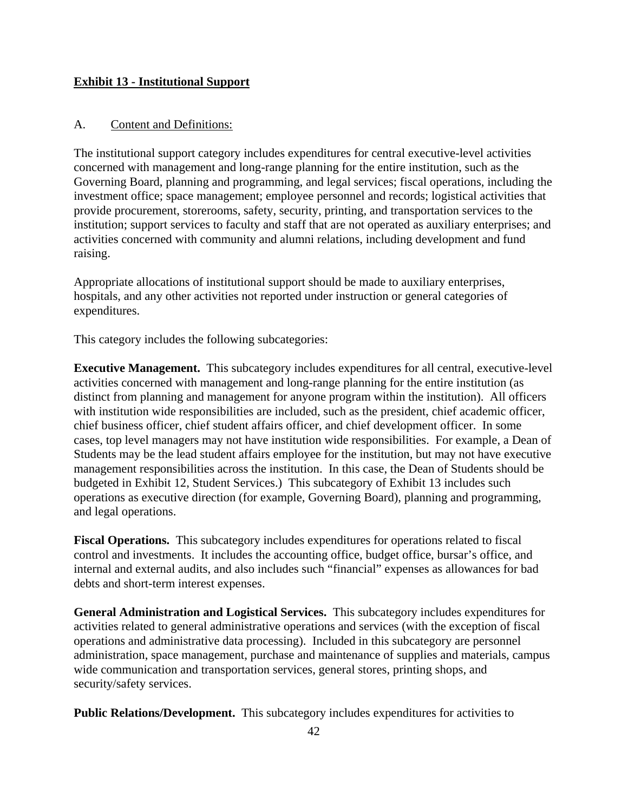### **Exhibit 13 - Institutional Support**

#### A. Content and Definitions:

The institutional support category includes expenditures for central executive-level activities concerned with management and long-range planning for the entire institution, such as the Governing Board, planning and programming, and legal services; fiscal operations, including the investment office; space management; employee personnel and records; logistical activities that provide procurement, storerooms, safety, security, printing, and transportation services to the institution; support services to faculty and staff that are not operated as auxiliary enterprises; and activities concerned with community and alumni relations, including development and fund raising.

Appropriate allocations of institutional support should be made to auxiliary enterprises, hospitals, and any other activities not reported under instruction or general categories of expenditures.

This category includes the following subcategories:

**Executive Management.** This subcategory includes expenditures for all central, executive-level activities concerned with management and long-range planning for the entire institution (as distinct from planning and management for anyone program within the institution). All officers with institution wide responsibilities are included, such as the president, chief academic officer, chief business officer, chief student affairs officer, and chief development officer. In some cases, top level managers may not have institution wide responsibilities. For example, a Dean of Students may be the lead student affairs employee for the institution, but may not have executive management responsibilities across the institution. In this case, the Dean of Students should be budgeted in Exhibit 12, Student Services.) This subcategory of Exhibit 13 includes such operations as executive direction (for example, Governing Board), planning and programming, and legal operations.

**Fiscal Operations.** This subcategory includes expenditures for operations related to fiscal control and investments. It includes the accounting office, budget office, bursar's office, and internal and external audits, and also includes such "financial" expenses as allowances for bad debts and short-term interest expenses.

**General Administration and Logistical Services.** This subcategory includes expenditures for activities related to general administrative operations and services (with the exception of fiscal operations and administrative data processing). Included in this subcategory are personnel administration, space management, purchase and maintenance of supplies and materials, campus wide communication and transportation services, general stores, printing shops, and security/safety services.

**Public Relations/Development.** This subcategory includes expenditures for activities to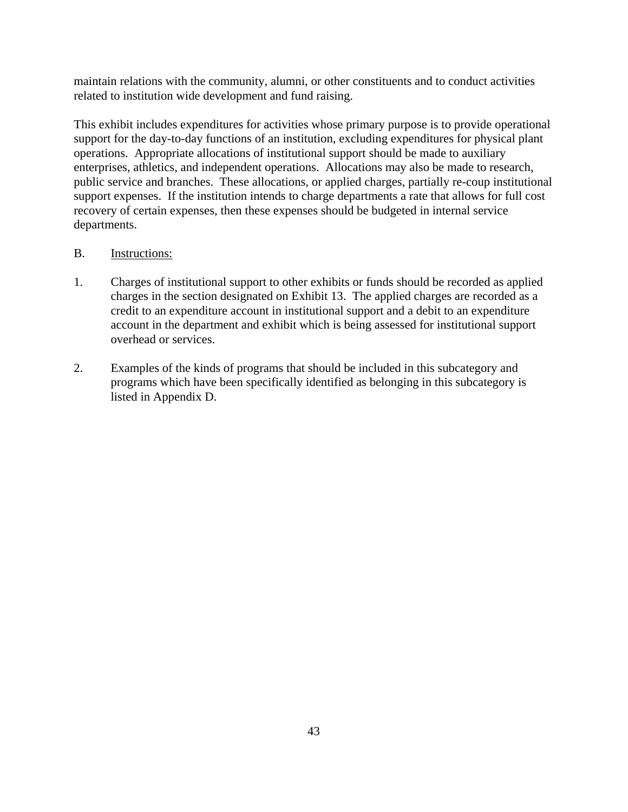maintain relations with the community, alumni, or other constituents and to conduct activities related to institution wide development and fund raising.

This exhibit includes expenditures for activities whose primary purpose is to provide operational support for the day-to-day functions of an institution, excluding expenditures for physical plant operations. Appropriate allocations of institutional support should be made to auxiliary enterprises, athletics, and independent operations. Allocations may also be made to research, public service and branches. These allocations, or applied charges, partially re-coup institutional support expenses. If the institution intends to charge departments a rate that allows for full cost recovery of certain expenses, then these expenses should be budgeted in internal service departments.

- 1. Charges of institutional support to other exhibits or funds should be recorded as applied charges in the section designated on Exhibit 13. The applied charges are recorded as a credit to an expenditure account in institutional support and a debit to an expenditure account in the department and exhibit which is being assessed for institutional support overhead or services.
- 2. Examples of the kinds of programs that should be included in this subcategory and programs which have been specifically identified as belonging in this subcategory is listed in Appendix D.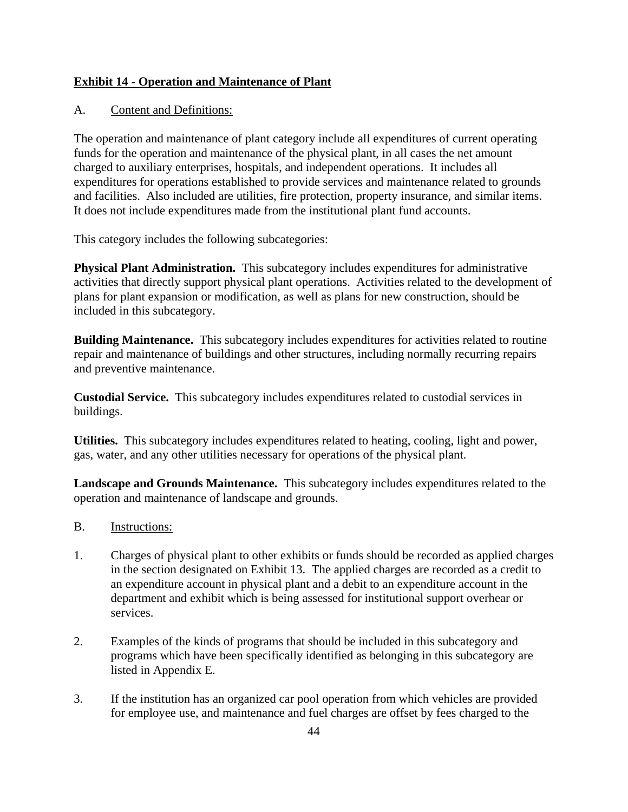# **Exhibit 14 - Operation and Maintenance of Plant**

# A. Content and Definitions:

The operation and maintenance of plant category include all expenditures of current operating funds for the operation and maintenance of the physical plant, in all cases the net amount charged to auxiliary enterprises, hospitals, and independent operations. It includes all expenditures for operations established to provide services and maintenance related to grounds and facilities. Also included are utilities, fire protection, property insurance, and similar items. It does not include expenditures made from the institutional plant fund accounts.

This category includes the following subcategories:

**Physical Plant Administration.** This subcategory includes expenditures for administrative activities that directly support physical plant operations. Activities related to the development of plans for plant expansion or modification, as well as plans for new construction, should be included in this subcategory.

**Building Maintenance.** This subcategory includes expenditures for activities related to routine repair and maintenance of buildings and other structures, including normally recurring repairs and preventive maintenance.

**Custodial Service.** This subcategory includes expenditures related to custodial services in buildings.

**Utilities.** This subcategory includes expenditures related to heating, cooling, light and power, gas, water, and any other utilities necessary for operations of the physical plant.

**Landscape and Grounds Maintenance.** This subcategory includes expenditures related to the operation and maintenance of landscape and grounds.

- B. Instructions:
- 1. Charges of physical plant to other exhibits or funds should be recorded as applied charges in the section designated on Exhibit 13. The applied charges are recorded as a credit to an expenditure account in physical plant and a debit to an expenditure account in the department and exhibit which is being assessed for institutional support overhear or services.
- 2. Examples of the kinds of programs that should be included in this subcategory and programs which have been specifically identified as belonging in this subcategory are listed in Appendix E.
- 3. If the institution has an organized car pool operation from which vehicles are provided for employee use, and maintenance and fuel charges are offset by fees charged to the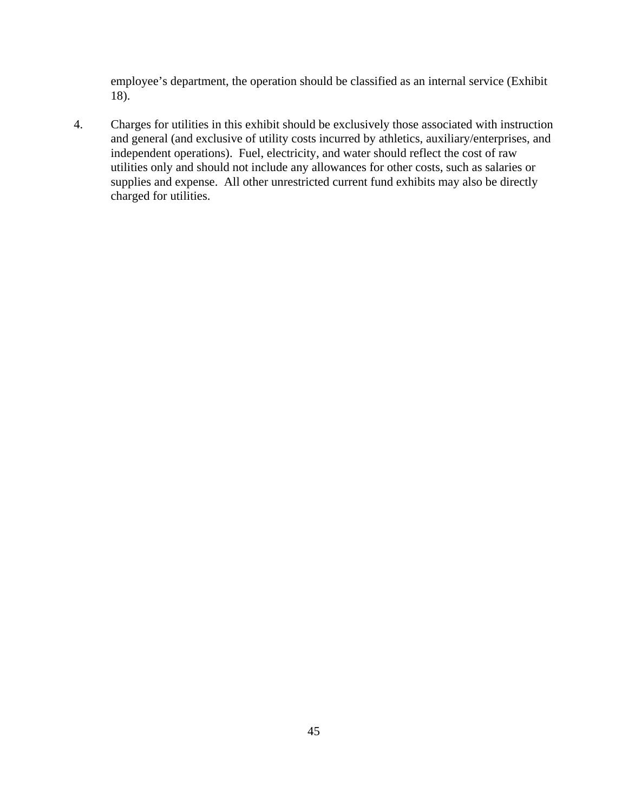employee's department, the operation should be classified as an internal service (Exhibit 18).

4. Charges for utilities in this exhibit should be exclusively those associated with instruction and general (and exclusive of utility costs incurred by athletics, auxiliary/enterprises, and independent operations). Fuel, electricity, and water should reflect the cost of raw utilities only and should not include any allowances for other costs, such as salaries or supplies and expense. All other unrestricted current fund exhibits may also be directly charged for utilities.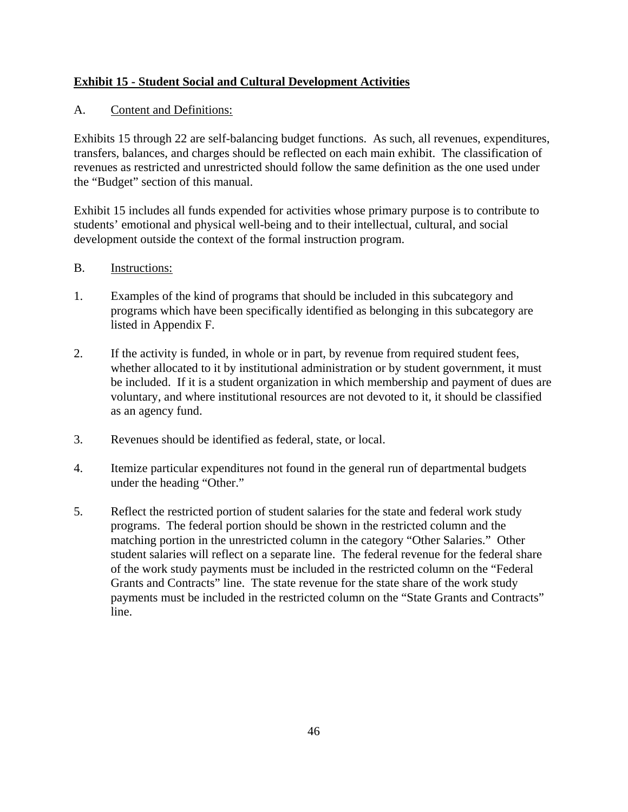# **Exhibit 15 - Student Social and Cultural Development Activities**

# A. Content and Definitions:

Exhibits 15 through 22 are self-balancing budget functions. As such, all revenues, expenditures, transfers, balances, and charges should be reflected on each main exhibit. The classification of revenues as restricted and unrestricted should follow the same definition as the one used under the "Budget" section of this manual.

Exhibit 15 includes all funds expended for activities whose primary purpose is to contribute to students' emotional and physical well-being and to their intellectual, cultural, and social development outside the context of the formal instruction program.

- 1. Examples of the kind of programs that should be included in this subcategory and programs which have been specifically identified as belonging in this subcategory are listed in Appendix F.
- 2. If the activity is funded, in whole or in part, by revenue from required student fees, whether allocated to it by institutional administration or by student government, it must be included. If it is a student organization in which membership and payment of dues are voluntary, and where institutional resources are not devoted to it, it should be classified as an agency fund.
- 3. Revenues should be identified as federal, state, or local.
- 4. Itemize particular expenditures not found in the general run of departmental budgets under the heading "Other."
- 5. Reflect the restricted portion of student salaries for the state and federal work study programs. The federal portion should be shown in the restricted column and the matching portion in the unrestricted column in the category "Other Salaries." Other student salaries will reflect on a separate line. The federal revenue for the federal share of the work study payments must be included in the restricted column on the "Federal Grants and Contracts" line. The state revenue for the state share of the work study payments must be included in the restricted column on the "State Grants and Contracts" line.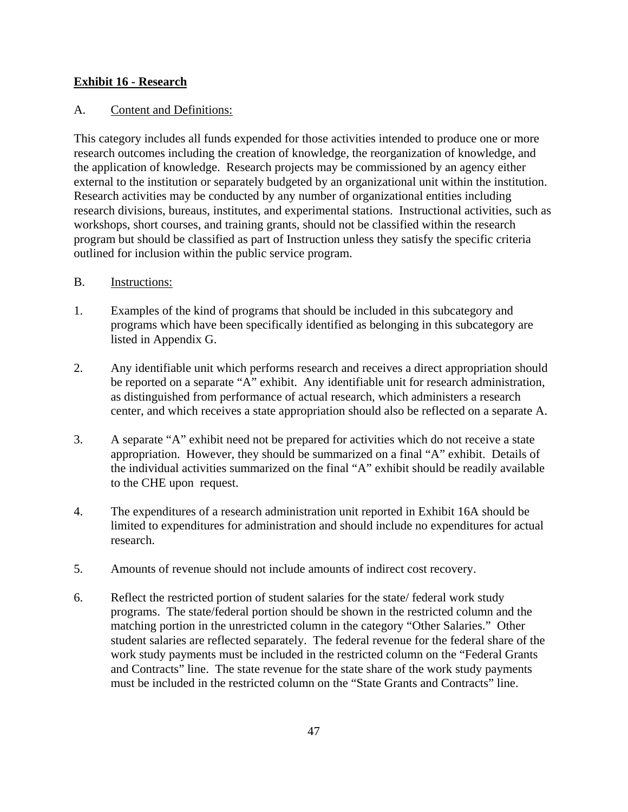### **Exhibit 16 - Research**

# A. Content and Definitions:

This category includes all funds expended for those activities intended to produce one or more research outcomes including the creation of knowledge, the reorganization of knowledge, and the application of knowledge. Research projects may be commissioned by an agency either external to the institution or separately budgeted by an organizational unit within the institution. Research activities may be conducted by any number of organizational entities including research divisions, bureaus, institutes, and experimental stations. Instructional activities, such as workshops, short courses, and training grants, should not be classified within the research program but should be classified as part of Instruction unless they satisfy the specific criteria outlined for inclusion within the public service program.

- 1. Examples of the kind of programs that should be included in this subcategory and programs which have been specifically identified as belonging in this subcategory are listed in Appendix G.
- 2. Any identifiable unit which performs research and receives a direct appropriation should be reported on a separate "A" exhibit. Any identifiable unit for research administration, as distinguished from performance of actual research, which administers a research center, and which receives a state appropriation should also be reflected on a separate A.
- 3. A separate "A" exhibit need not be prepared for activities which do not receive a state appropriation. However, they should be summarized on a final "A" exhibit. Details of the individual activities summarized on the final "A" exhibit should be readily available to the CHE upon request.
- 4. The expenditures of a research administration unit reported in Exhibit 16A should be limited to expenditures for administration and should include no expenditures for actual research.
- 5. Amounts of revenue should not include amounts of indirect cost recovery.
- 6. Reflect the restricted portion of student salaries for the state/ federal work study programs. The state/federal portion should be shown in the restricted column and the matching portion in the unrestricted column in the category "Other Salaries." Other student salaries are reflected separately. The federal revenue for the federal share of the work study payments must be included in the restricted column on the "Federal Grants and Contracts" line. The state revenue for the state share of the work study payments must be included in the restricted column on the "State Grants and Contracts" line.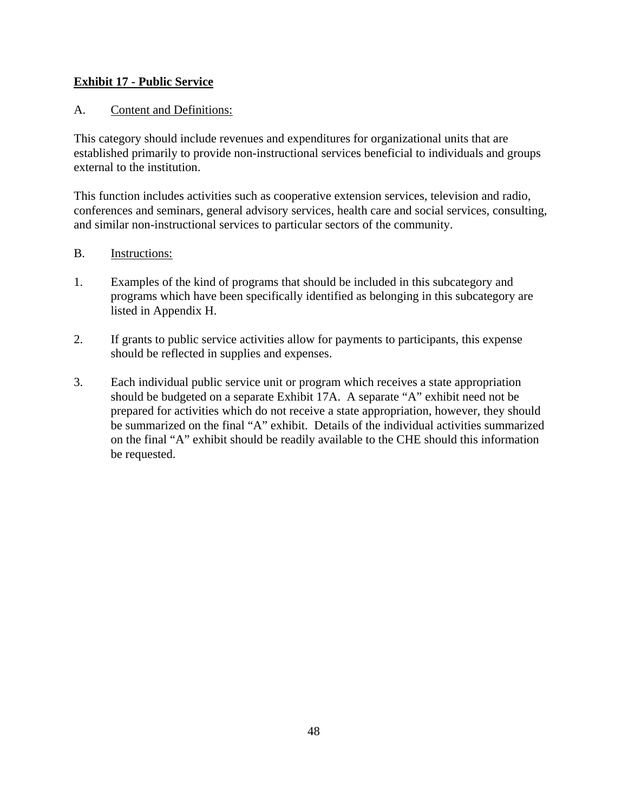# **Exhibit 17 - Public Service**

# A. Content and Definitions:

This category should include revenues and expenditures for organizational units that are established primarily to provide non-instructional services beneficial to individuals and groups external to the institution.

This function includes activities such as cooperative extension services, television and radio, conferences and seminars, general advisory services, health care and social services, consulting, and similar non-instructional services to particular sectors of the community.

- 1. Examples of the kind of programs that should be included in this subcategory and programs which have been specifically identified as belonging in this subcategory are listed in Appendix H.
- 2. If grants to public service activities allow for payments to participants, this expense should be reflected in supplies and expenses.
- 3. Each individual public service unit or program which receives a state appropriation should be budgeted on a separate Exhibit 17A. A separate "A" exhibit need not be prepared for activities which do not receive a state appropriation, however, they should be summarized on the final "A" exhibit. Details of the individual activities summarized on the final "A" exhibit should be readily available to the CHE should this information be requested.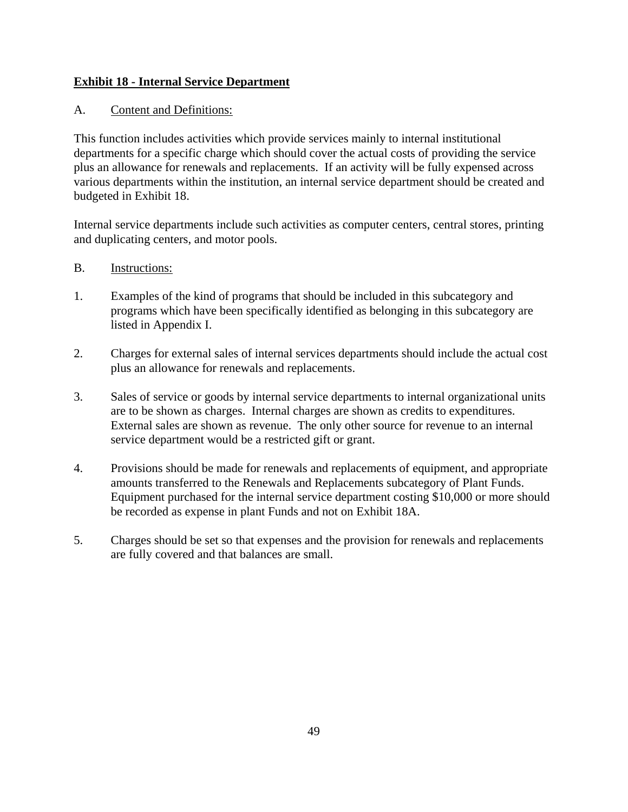# **Exhibit 18 - Internal Service Department**

# A. Content and Definitions:

This function includes activities which provide services mainly to internal institutional departments for a specific charge which should cover the actual costs of providing the service plus an allowance for renewals and replacements. If an activity will be fully expensed across various departments within the institution, an internal service department should be created and budgeted in Exhibit 18.

Internal service departments include such activities as computer centers, central stores, printing and duplicating centers, and motor pools.

- B. Instructions:
- 1. Examples of the kind of programs that should be included in this subcategory and programs which have been specifically identified as belonging in this subcategory are listed in Appendix I.
- 2. Charges for external sales of internal services departments should include the actual cost plus an allowance for renewals and replacements.
- 3. Sales of service or goods by internal service departments to internal organizational units are to be shown as charges. Internal charges are shown as credits to expenditures. External sales are shown as revenue. The only other source for revenue to an internal service department would be a restricted gift or grant.
- 4. Provisions should be made for renewals and replacements of equipment, and appropriate amounts transferred to the Renewals and Replacements subcategory of Plant Funds. Equipment purchased for the internal service department costing \$10,000 or more should be recorded as expense in plant Funds and not on Exhibit 18A.
- 5. Charges should be set so that expenses and the provision for renewals and replacements are fully covered and that balances are small.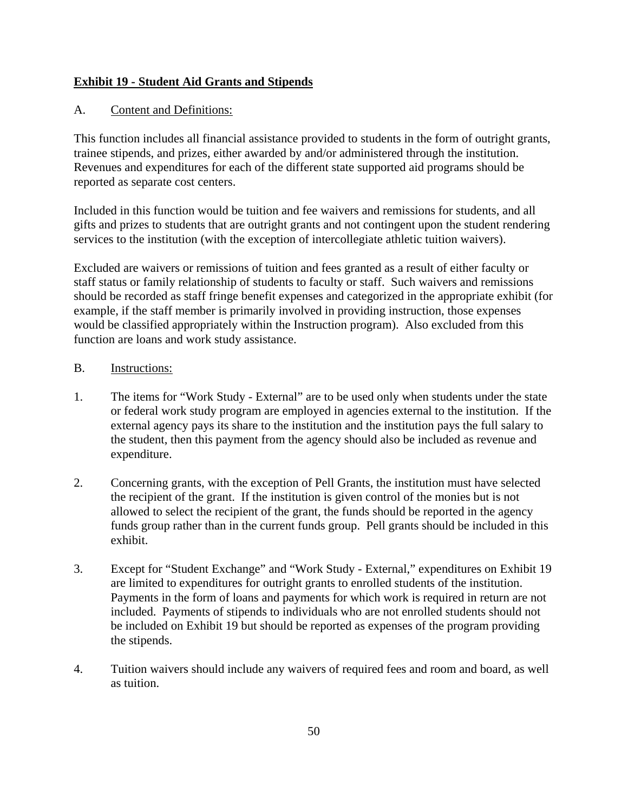# **Exhibit 19 - Student Aid Grants and Stipends**

# A. Content and Definitions:

This function includes all financial assistance provided to students in the form of outright grants, trainee stipends, and prizes, either awarded by and/or administered through the institution. Revenues and expenditures for each of the different state supported aid programs should be reported as separate cost centers.

Included in this function would be tuition and fee waivers and remissions for students, and all gifts and prizes to students that are outright grants and not contingent upon the student rendering services to the institution (with the exception of intercollegiate athletic tuition waivers).

Excluded are waivers or remissions of tuition and fees granted as a result of either faculty or staff status or family relationship of students to faculty or staff. Such waivers and remissions should be recorded as staff fringe benefit expenses and categorized in the appropriate exhibit (for example, if the staff member is primarily involved in providing instruction, those expenses would be classified appropriately within the Instruction program). Also excluded from this function are loans and work study assistance.

- 1. The items for "Work Study External" are to be used only when students under the state or federal work study program are employed in agencies external to the institution. If the external agency pays its share to the institution and the institution pays the full salary to the student, then this payment from the agency should also be included as revenue and expenditure.
- 2. Concerning grants, with the exception of Pell Grants, the institution must have selected the recipient of the grant. If the institution is given control of the monies but is not allowed to select the recipient of the grant, the funds should be reported in the agency funds group rather than in the current funds group. Pell grants should be included in this exhibit.
- 3. Except for "Student Exchange" and "Work Study External," expenditures on Exhibit 19 are limited to expenditures for outright grants to enrolled students of the institution. Payments in the form of loans and payments for which work is required in return are not included. Payments of stipends to individuals who are not enrolled students should not be included on Exhibit 19 but should be reported as expenses of the program providing the stipends.
- 4. Tuition waivers should include any waivers of required fees and room and board, as well as tuition.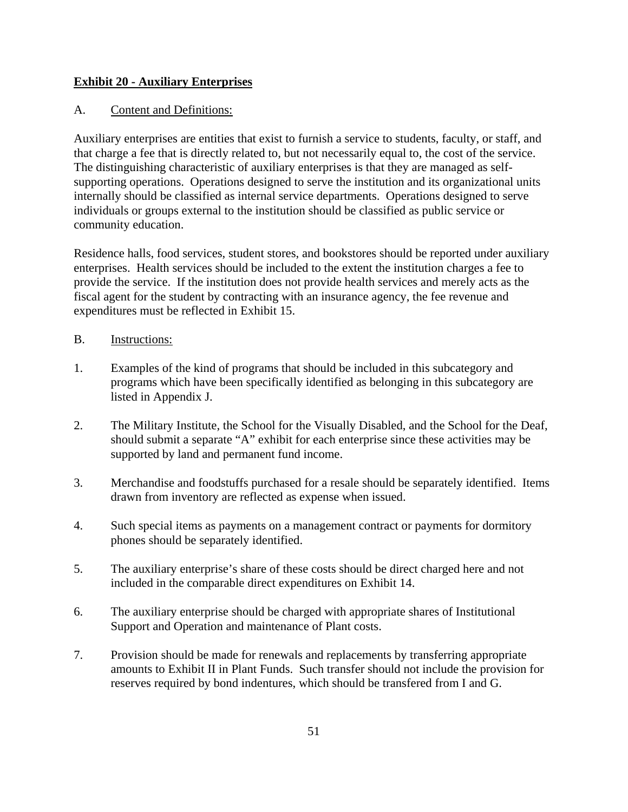# **Exhibit 20 - Auxiliary Enterprises**

# A. Content and Definitions:

Auxiliary enterprises are entities that exist to furnish a service to students, faculty, or staff, and that charge a fee that is directly related to, but not necessarily equal to, the cost of the service. The distinguishing characteristic of auxiliary enterprises is that they are managed as selfsupporting operations. Operations designed to serve the institution and its organizational units internally should be classified as internal service departments. Operations designed to serve individuals or groups external to the institution should be classified as public service or community education.

Residence halls, food services, student stores, and bookstores should be reported under auxiliary enterprises. Health services should be included to the extent the institution charges a fee to provide the service. If the institution does not provide health services and merely acts as the fiscal agent for the student by contracting with an insurance agency, the fee revenue and expenditures must be reflected in Exhibit 15.

- B. Instructions:
- 1. Examples of the kind of programs that should be included in this subcategory and programs which have been specifically identified as belonging in this subcategory are listed in Appendix J.
- 2. The Military Institute, the School for the Visually Disabled, and the School for the Deaf, should submit a separate "A" exhibit for each enterprise since these activities may be supported by land and permanent fund income.
- 3. Merchandise and foodstuffs purchased for a resale should be separately identified. Items drawn from inventory are reflected as expense when issued.
- 4. Such special items as payments on a management contract or payments for dormitory phones should be separately identified.
- 5. The auxiliary enterprise's share of these costs should be direct charged here and not included in the comparable direct expenditures on Exhibit 14.
- 6. The auxiliary enterprise should be charged with appropriate shares of Institutional Support and Operation and maintenance of Plant costs.
- 7. Provision should be made for renewals and replacements by transferring appropriate amounts to Exhibit II in Plant Funds. Such transfer should not include the provision for reserves required by bond indentures, which should be transfered from I and G.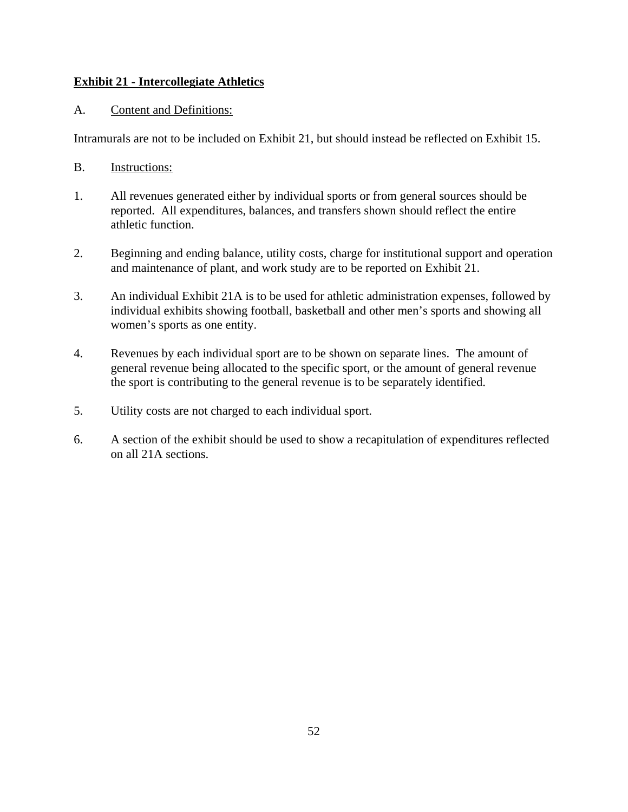# **Exhibit 21 - Intercollegiate Athletics**

### A. Content and Definitions:

Intramurals are not to be included on Exhibit 21, but should instead be reflected on Exhibit 15.

- B. Instructions:
- 1. All revenues generated either by individual sports or from general sources should be reported. All expenditures, balances, and transfers shown should reflect the entire athletic function.
- 2. Beginning and ending balance, utility costs, charge for institutional support and operation and maintenance of plant, and work study are to be reported on Exhibit 21.
- 3. An individual Exhibit 21A is to be used for athletic administration expenses, followed by individual exhibits showing football, basketball and other men's sports and showing all women's sports as one entity.
- 4. Revenues by each individual sport are to be shown on separate lines. The amount of general revenue being allocated to the specific sport, or the amount of general revenue the sport is contributing to the general revenue is to be separately identified.
- 5. Utility costs are not charged to each individual sport.
- 6. A section of the exhibit should be used to show a recapitulation of expenditures reflected on all 21A sections.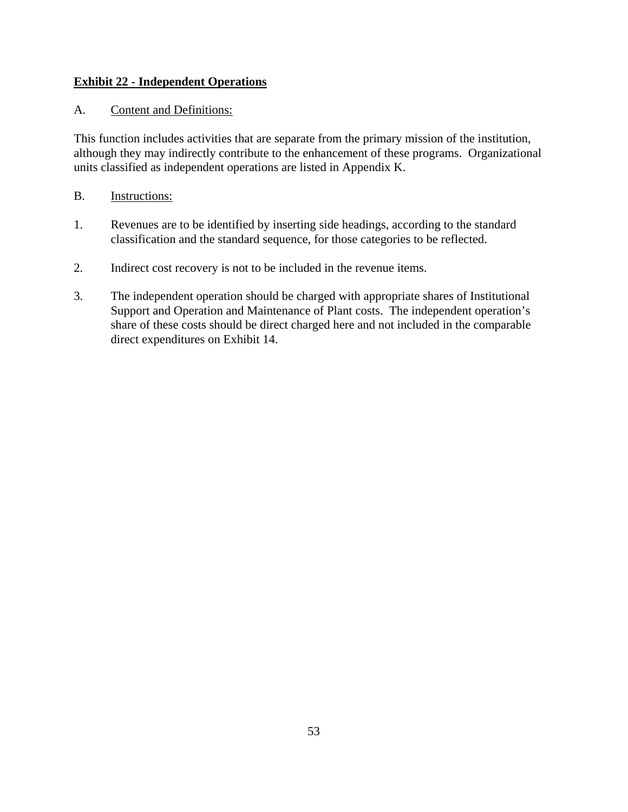# **Exhibit 22 - Independent Operations**

# A. Content and Definitions:

This function includes activities that are separate from the primary mission of the institution, although they may indirectly contribute to the enhancement of these programs. Organizational units classified as independent operations are listed in Appendix K.

- 1. Revenues are to be identified by inserting side headings, according to the standard classification and the standard sequence, for those categories to be reflected.
- 2. Indirect cost recovery is not to be included in the revenue items.
- 3. The independent operation should be charged with appropriate shares of Institutional Support and Operation and Maintenance of Plant costs. The independent operation's share of these costs should be direct charged here and not included in the comparable direct expenditures on Exhibit 14.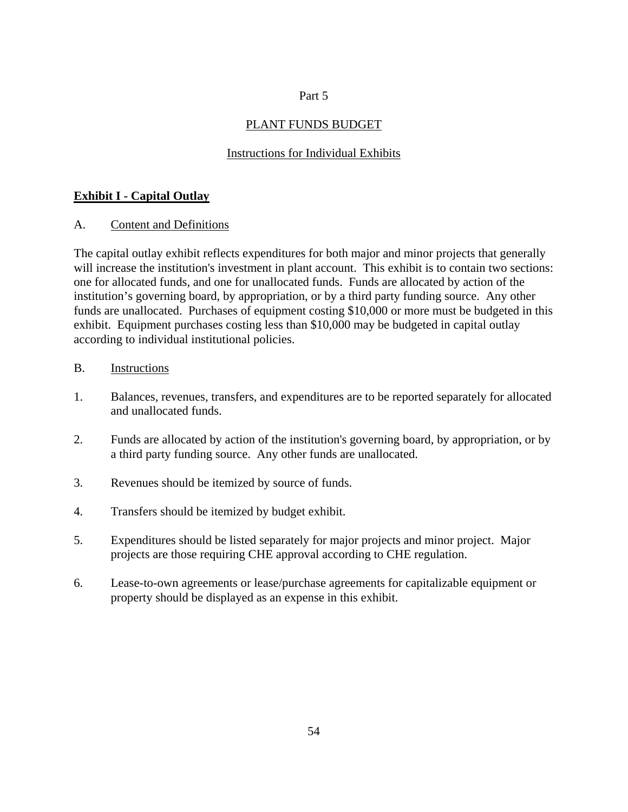# Part 5

# PLANT FUNDS BUDGET

# Instructions for Individual Exhibits

# **Exhibit I - Capital Outlay**

A. Content and Definitions

The capital outlay exhibit reflects expenditures for both major and minor projects that generally will increase the institution's investment in plant account. This exhibit is to contain two sections: one for allocated funds, and one for unallocated funds. Funds are allocated by action of the institution's governing board, by appropriation, or by a third party funding source. Any other funds are unallocated. Purchases of equipment costing \$10,000 or more must be budgeted in this exhibit. Equipment purchases costing less than \$10,000 may be budgeted in capital outlay according to individual institutional policies.

- 1. Balances, revenues, transfers, and expenditures are to be reported separately for allocated and unallocated funds.
- 2. Funds are allocated by action of the institution's governing board, by appropriation, or by a third party funding source. Any other funds are unallocated.
- 3. Revenues should be itemized by source of funds.
- 4. Transfers should be itemized by budget exhibit.
- 5. Expenditures should be listed separately for major projects and minor project. Major projects are those requiring CHE approval according to CHE regulation.
- 6. Lease-to-own agreements or lease/purchase agreements for capitalizable equipment or property should be displayed as an expense in this exhibit.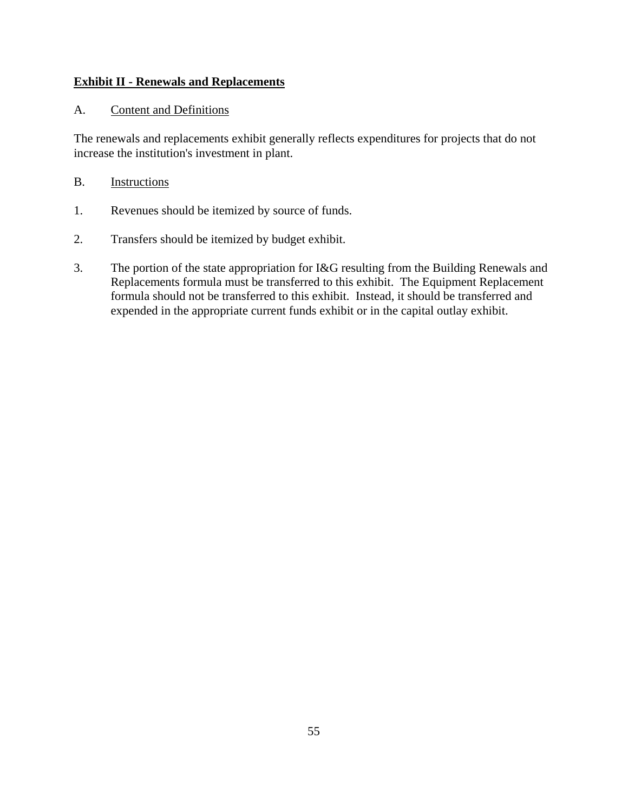# **Exhibit II - Renewals and Replacements**

# A. Content and Definitions

The renewals and replacements exhibit generally reflects expenditures for projects that do not increase the institution's investment in plant.

- 1. Revenues should be itemized by source of funds.
- 2. Transfers should be itemized by budget exhibit.
- 3. The portion of the state appropriation for I&G resulting from the Building Renewals and Replacements formula must be transferred to this exhibit. The Equipment Replacement formula should not be transferred to this exhibit. Instead, it should be transferred and expended in the appropriate current funds exhibit or in the capital outlay exhibit.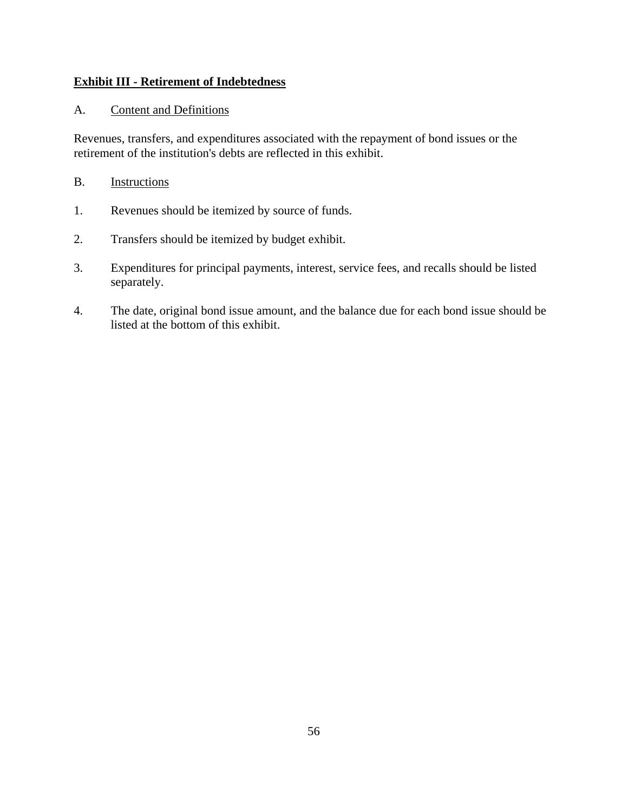# **Exhibit III - Retirement of Indebtedness**

# A. Content and Definitions

Revenues, transfers, and expenditures associated with the repayment of bond issues or the retirement of the institution's debts are reflected in this exhibit.

- 1. Revenues should be itemized by source of funds.
- 2. Transfers should be itemized by budget exhibit.
- 3. Expenditures for principal payments, interest, service fees, and recalls should be listed separately.
- 4. The date, original bond issue amount, and the balance due for each bond issue should be listed at the bottom of this exhibit.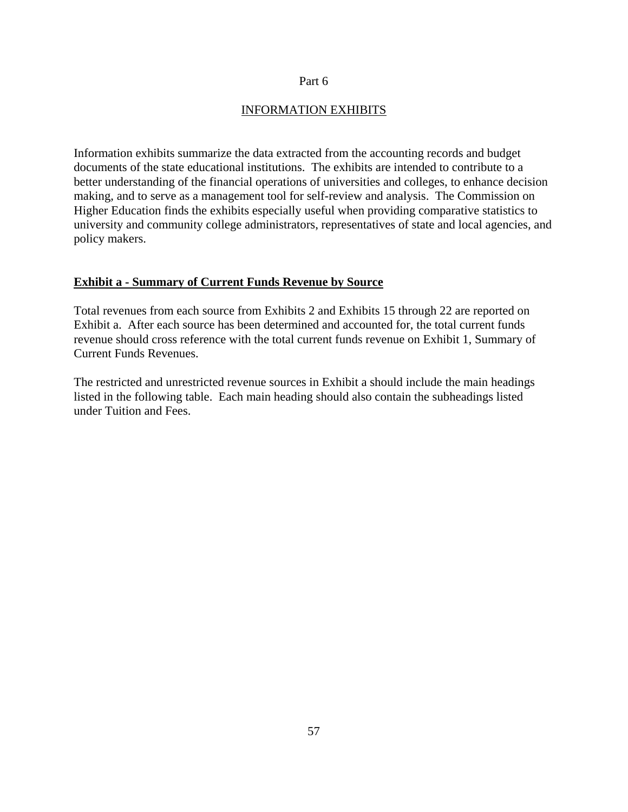#### Part 6

### INFORMATION EXHIBITS

Information exhibits summarize the data extracted from the accounting records and budget documents of the state educational institutions. The exhibits are intended to contribute to a better understanding of the financial operations of universities and colleges, to enhance decision making, and to serve as a management tool for self-review and analysis. The Commission on Higher Education finds the exhibits especially useful when providing comparative statistics to university and community college administrators, representatives of state and local agencies, and policy makers.

#### **Exhibit a - Summary of Current Funds Revenue by Source**

Total revenues from each source from Exhibits 2 and Exhibits 15 through 22 are reported on Exhibit a. After each source has been determined and accounted for, the total current funds revenue should cross reference with the total current funds revenue on Exhibit 1, Summary of Current Funds Revenues.

The restricted and unrestricted revenue sources in Exhibit a should include the main headings listed in the following table. Each main heading should also contain the subheadings listed under Tuition and Fees.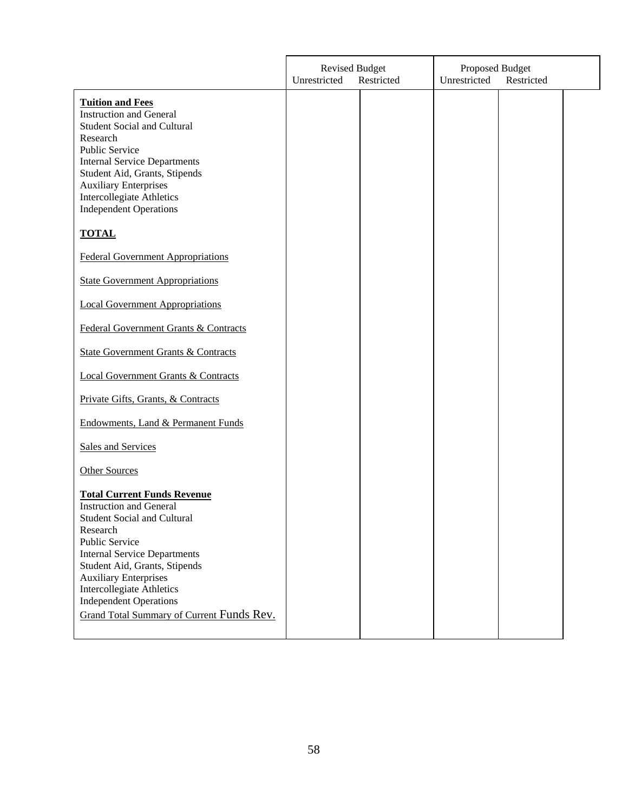|                                                                                                                                                                                                                                                                                                                                                                    | <b>Revised Budget</b><br>Unrestricted<br>Restricted |  | Proposed Budget<br>Unrestricted<br>Restricted |  |  |
|--------------------------------------------------------------------------------------------------------------------------------------------------------------------------------------------------------------------------------------------------------------------------------------------------------------------------------------------------------------------|-----------------------------------------------------|--|-----------------------------------------------|--|--|
| <b>Tuition and Fees</b><br><b>Instruction and General</b><br><b>Student Social and Cultural</b><br>Research<br><b>Public Service</b><br><b>Internal Service Departments</b><br>Student Aid, Grants, Stipends<br><b>Auxiliary Enterprises</b><br><b>Intercollegiate Athletics</b><br><b>Independent Operations</b>                                                  |                                                     |  |                                               |  |  |
| <b>TOTAL</b>                                                                                                                                                                                                                                                                                                                                                       |                                                     |  |                                               |  |  |
| <b>Federal Government Appropriations</b>                                                                                                                                                                                                                                                                                                                           |                                                     |  |                                               |  |  |
| <b>State Government Appropriations</b>                                                                                                                                                                                                                                                                                                                             |                                                     |  |                                               |  |  |
| <b>Local Government Appropriations</b>                                                                                                                                                                                                                                                                                                                             |                                                     |  |                                               |  |  |
| Federal Government Grants & Contracts                                                                                                                                                                                                                                                                                                                              |                                                     |  |                                               |  |  |
| <b>State Government Grants &amp; Contracts</b>                                                                                                                                                                                                                                                                                                                     |                                                     |  |                                               |  |  |
| <b>Local Government Grants &amp; Contracts</b>                                                                                                                                                                                                                                                                                                                     |                                                     |  |                                               |  |  |
| Private Gifts, Grants, & Contracts                                                                                                                                                                                                                                                                                                                                 |                                                     |  |                                               |  |  |
| Endowments, Land & Permanent Funds                                                                                                                                                                                                                                                                                                                                 |                                                     |  |                                               |  |  |
| <b>Sales and Services</b>                                                                                                                                                                                                                                                                                                                                          |                                                     |  |                                               |  |  |
| <b>Other Sources</b>                                                                                                                                                                                                                                                                                                                                               |                                                     |  |                                               |  |  |
| <b>Total Current Funds Revenue</b><br><b>Instruction and General</b><br><b>Student Social and Cultural</b><br>Research<br>Public Service<br><b>Internal Service Departments</b><br>Student Aid, Grants, Stipends<br><b>Auxiliary Enterprises</b><br><b>Intercollegiate Athletics</b><br><b>Independent Operations</b><br>Grand Total Summary of Current Funds Rev. |                                                     |  |                                               |  |  |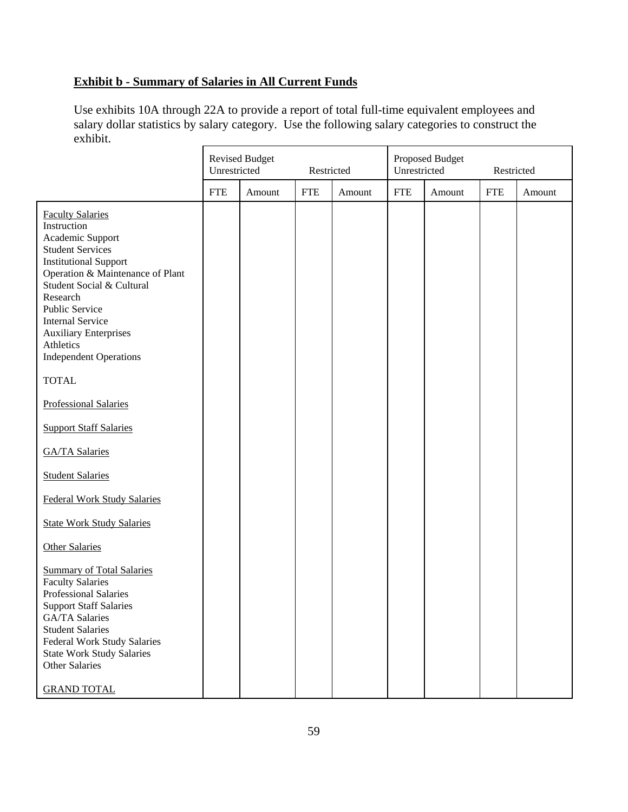# **Exhibit b - Summary of Salaries in All Current Funds**

Use exhibits 10A through 22A to provide a report of total full-time equivalent employees and salary dollar statistics by salary category. Use the following salary categories to construct the exhibit.

|                                                                                                                                                                                                                                                                                                                                                                               | Unrestricted | <b>Revised Budget</b> | Restricted |        | Unrestricted | Proposed Budget | Restricted |        |
|-------------------------------------------------------------------------------------------------------------------------------------------------------------------------------------------------------------------------------------------------------------------------------------------------------------------------------------------------------------------------------|--------------|-----------------------|------------|--------|--------------|-----------------|------------|--------|
|                                                                                                                                                                                                                                                                                                                                                                               | <b>FTE</b>   | Amount                | <b>FTE</b> | Amount | <b>FTE</b>   | Amount          | <b>FTE</b> | Amount |
| <b>Faculty Salaries</b><br>Instruction<br>Academic Support<br><b>Student Services</b><br><b>Institutional Support</b><br>Operation & Maintenance of Plant<br>Student Social & Cultural<br>Research<br>Public Service<br><b>Internal Service</b><br><b>Auxiliary Enterprises</b><br>Athletics<br><b>Independent Operations</b><br><b>TOTAL</b><br><b>Professional Salaries</b> |              |                       |            |        |              |                 |            |        |
| <b>Support Staff Salaries</b>                                                                                                                                                                                                                                                                                                                                                 |              |                       |            |        |              |                 |            |        |
| <b>GA/TA Salaries</b>                                                                                                                                                                                                                                                                                                                                                         |              |                       |            |        |              |                 |            |        |
| <b>Student Salaries</b>                                                                                                                                                                                                                                                                                                                                                       |              |                       |            |        |              |                 |            |        |
| <b>Federal Work Study Salaries</b>                                                                                                                                                                                                                                                                                                                                            |              |                       |            |        |              |                 |            |        |
| <b>State Work Study Salaries</b>                                                                                                                                                                                                                                                                                                                                              |              |                       |            |        |              |                 |            |        |
| <b>Other Salaries</b>                                                                                                                                                                                                                                                                                                                                                         |              |                       |            |        |              |                 |            |        |
| <b>Summary of Total Salaries</b><br><b>Faculty Salaries</b><br>Professional Salaries<br><b>Support Staff Salaries</b><br>GA/TA Salaries<br><b>Student Salaries</b><br><b>Federal Work Study Salaries</b><br><b>State Work Study Salaries</b><br>Other Salaries<br><b>GRAND TOTAL</b>                                                                                          |              |                       |            |        |              |                 |            |        |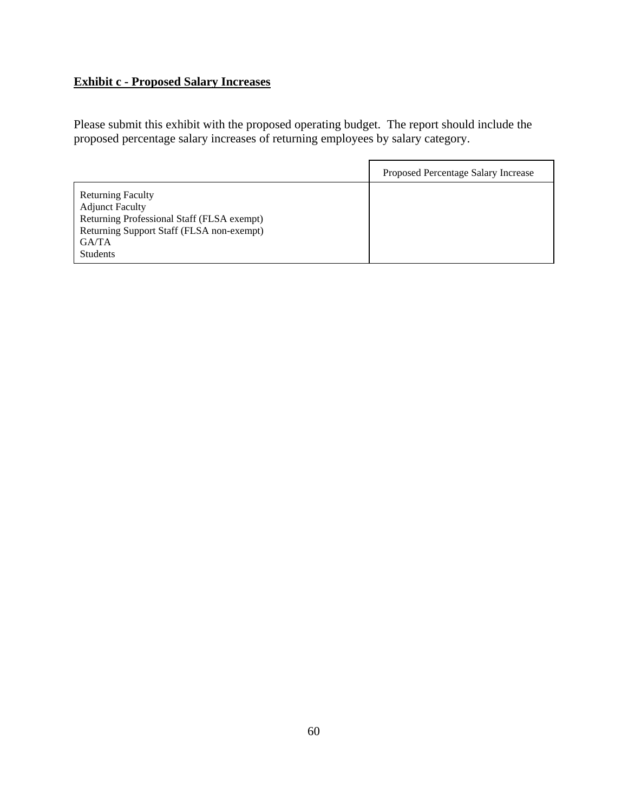# **Exhibit c - Proposed Salary Increases**

Please submit this exhibit with the proposed operating budget. The report should include the proposed percentage salary increases of returning employees by salary category.

|                                                                                                                                                                           | Proposed Percentage Salary Increase |
|---------------------------------------------------------------------------------------------------------------------------------------------------------------------------|-------------------------------------|
| <b>Returning Faculty</b><br><b>Adjunct Faculty</b><br>Returning Professional Staff (FLSA exempt)<br>Returning Support Staff (FLSA non-exempt)<br>GA/TA<br><b>Students</b> |                                     |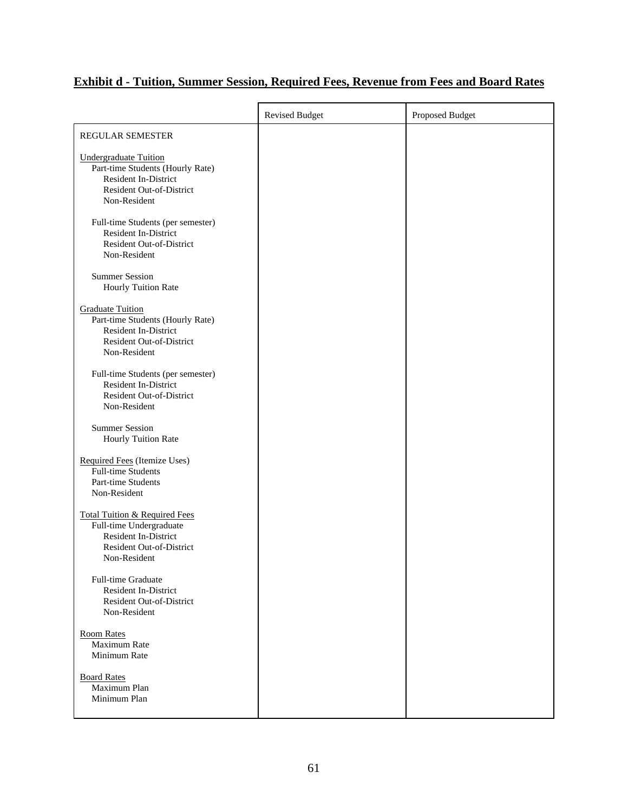# **Exhibit d - Tuition, Summer Session, Required Fees, Revenue from Fees and Board Rates**

|                                                                                                                                                | <b>Revised Budget</b> | Proposed Budget |
|------------------------------------------------------------------------------------------------------------------------------------------------|-----------------------|-----------------|
| <b>REGULAR SEMESTER</b>                                                                                                                        |                       |                 |
| Undergraduate Tuition<br>Part-time Students (Hourly Rate)<br>Resident In-District<br>Resident Out-of-District<br>Non-Resident                  |                       |                 |
| Full-time Students (per semester)<br>Resident In-District<br>Resident Out-of-District<br>Non-Resident                                          |                       |                 |
| <b>Summer Session</b><br>Hourly Tuition Rate                                                                                                   |                       |                 |
| <b>Graduate Tuition</b><br>Part-time Students (Hourly Rate)<br>Resident In-District<br><b>Resident Out-of-District</b><br>Non-Resident         |                       |                 |
| Full-time Students (per semester)<br>Resident In-District<br>Resident Out-of-District<br>Non-Resident                                          |                       |                 |
| <b>Summer Session</b><br>Hourly Tuition Rate                                                                                                   |                       |                 |
| Required Fees (Itemize Uses)<br>Full-time Students<br>Part-time Students<br>Non-Resident                                                       |                       |                 |
| <b>Total Tuition &amp; Required Fees</b><br>Full-time Undergraduate<br><b>Resident In-District</b><br>Resident Out-of-District<br>Non-Resident |                       |                 |
| <b>Full-time Graduate</b><br>Resident In-District<br><b>Resident Out-of-District</b><br>Non-Resident                                           |                       |                 |
| <b>Room Rates</b><br>Maximum Rate<br>Minimum Rate                                                                                              |                       |                 |
| <b>Board Rates</b><br>Maximum Plan<br>Minimum Plan                                                                                             |                       |                 |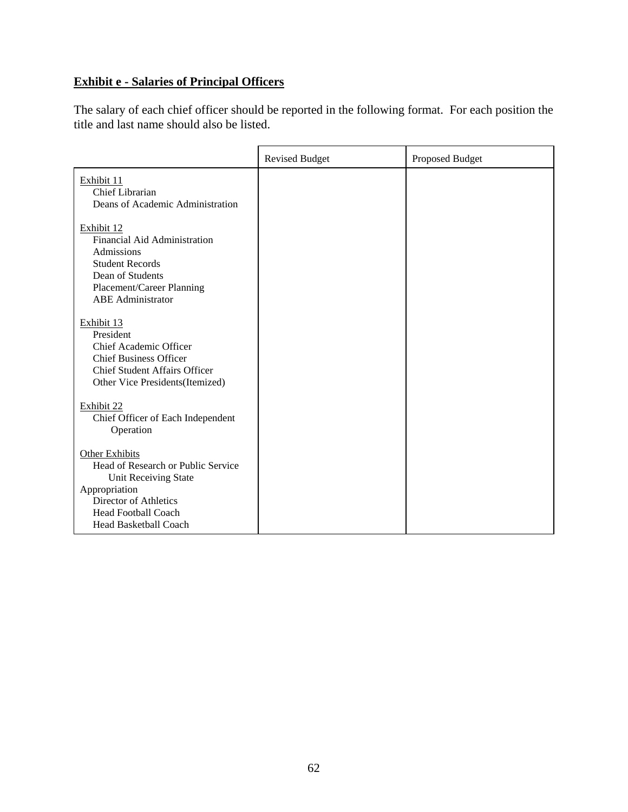# **Exhibit e - Salaries of Principal Officers**

The salary of each chief officer should be reported in the following format. For each position the title and last name should also be listed.

|                                                                                                                                                                                      | <b>Revised Budget</b> | Proposed Budget |
|--------------------------------------------------------------------------------------------------------------------------------------------------------------------------------------|-----------------------|-----------------|
| Exhibit 11<br>Chief Librarian<br>Deans of Academic Administration                                                                                                                    |                       |                 |
| Exhibit 12<br><b>Financial Aid Administration</b><br>Admissions<br><b>Student Records</b><br>Dean of Students<br>Placement/Career Planning<br><b>ABE</b> Administrator               |                       |                 |
| Exhibit 13<br>President<br>Chief Academic Officer<br><b>Chief Business Officer</b><br><b>Chief Student Affairs Officer</b><br>Other Vice Presidents (Itemized)                       |                       |                 |
| Exhibit 22<br>Chief Officer of Each Independent<br>Operation                                                                                                                         |                       |                 |
| <b>Other Exhibits</b><br>Head of Research or Public Service<br>Unit Receiving State<br>Appropriation<br>Director of Athletics<br><b>Head Football Coach</b><br>Head Basketball Coach |                       |                 |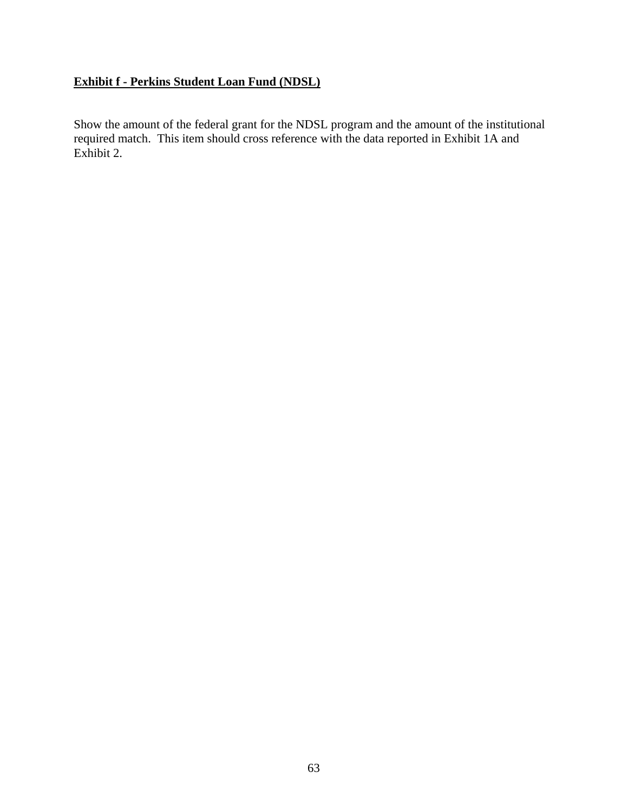# **Exhibit f - Perkins Student Loan Fund (NDSL)**

Show the amount of the federal grant for the NDSL program and the amount of the institutional required match. This item should cross reference with the data reported in Exhibit 1A and Exhibit 2.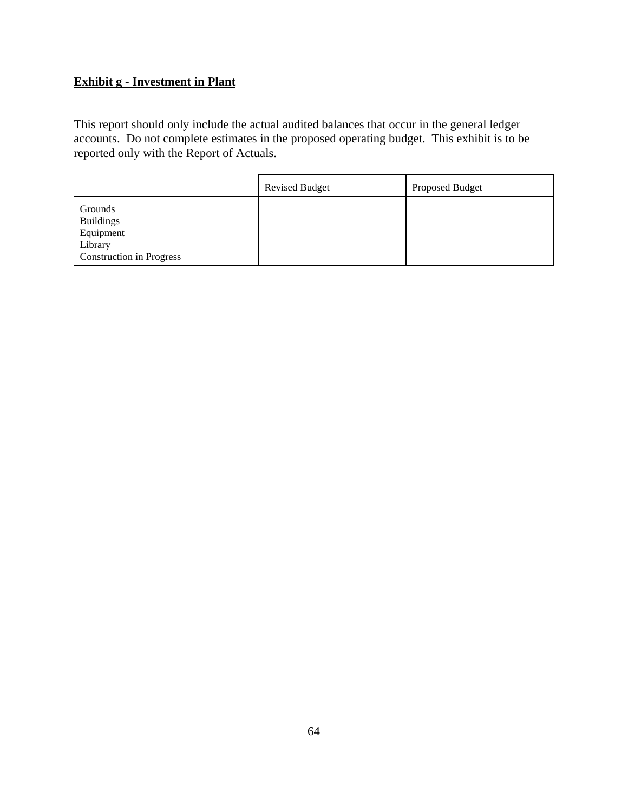# **Exhibit g - Investment in Plant**

This report should only include the actual audited balances that occur in the general ledger accounts. Do not complete estimates in the proposed operating budget. This exhibit is to be reported only with the Report of Actuals.

|                                                                                        | <b>Revised Budget</b> | Proposed Budget |
|----------------------------------------------------------------------------------------|-----------------------|-----------------|
| Grounds<br><b>Buildings</b><br>Equipment<br>Library<br><b>Construction in Progress</b> |                       |                 |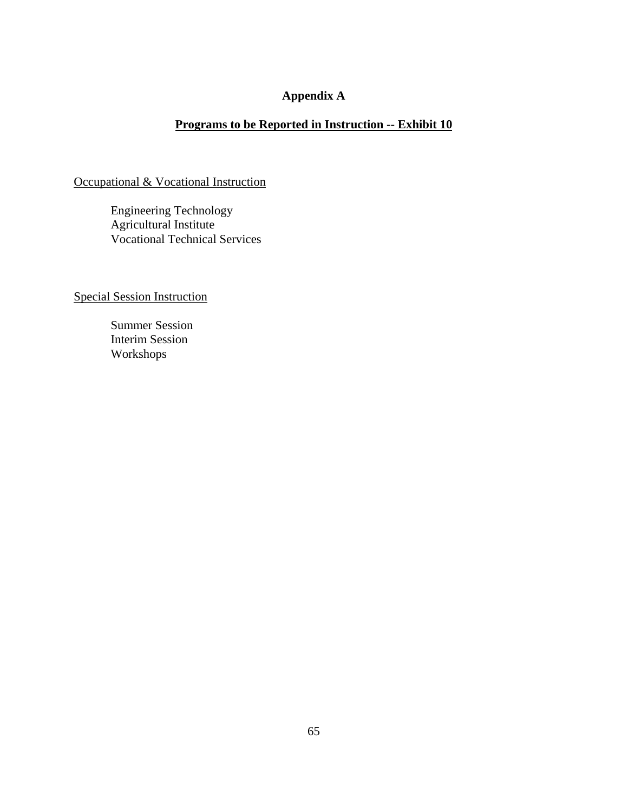# **Appendix A**

# **Programs to be Reported in Instruction -- Exhibit 10**

Occupational & Vocational Instruction

Engineering Technology Agricultural Institute Vocational Technical Services

Special Session Instruction

Summer Session Interim Session Workshops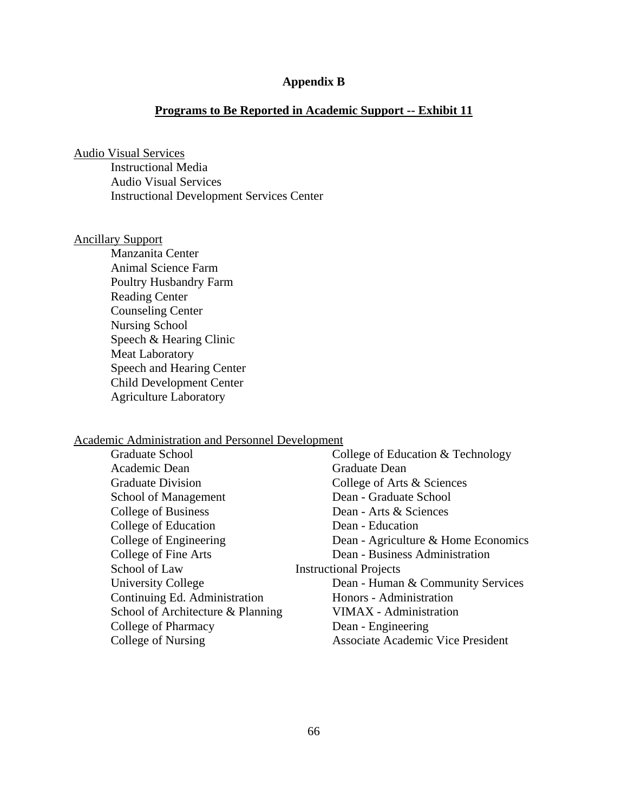# **Appendix B**

# **Programs to Be Reported in Academic Support -- Exhibit 11**

Audio Visual Services

Instructional Media Audio Visual Services Instructional Development Services Center

# Ancillary Support

Manzanita Center Animal Science Farm Poultry Husbandry Farm Reading Center Counseling Center Nursing School Speech & Hearing Clinic Meat Laboratory Speech and Hearing Center Child Development Center Agriculture Laboratory

#### Academic Administration and Personnel Development

| <b>Graduate School</b>            | College of Education & Technology        |
|-----------------------------------|------------------------------------------|
| Academic Dean                     | Graduate Dean                            |
| <b>Graduate Division</b>          | College of Arts & Sciences               |
| School of Management              | Dean - Graduate School                   |
| College of Business               | Dean - Arts & Sciences                   |
| College of Education              | Dean - Education                         |
| College of Engineering            | Dean - Agriculture & Home Economics      |
| College of Fine Arts              | Dean - Business Administration           |
| School of Law                     | <b>Instructional Projects</b>            |
| <b>University College</b>         | Dean - Human & Community Services        |
| Continuing Ed. Administration     | Honors - Administration                  |
| School of Architecture & Planning | VIMAX - Administration                   |
| College of Pharmacy               | Dean - Engineering                       |
| College of Nursing                | <b>Associate Academic Vice President</b> |
|                                   |                                          |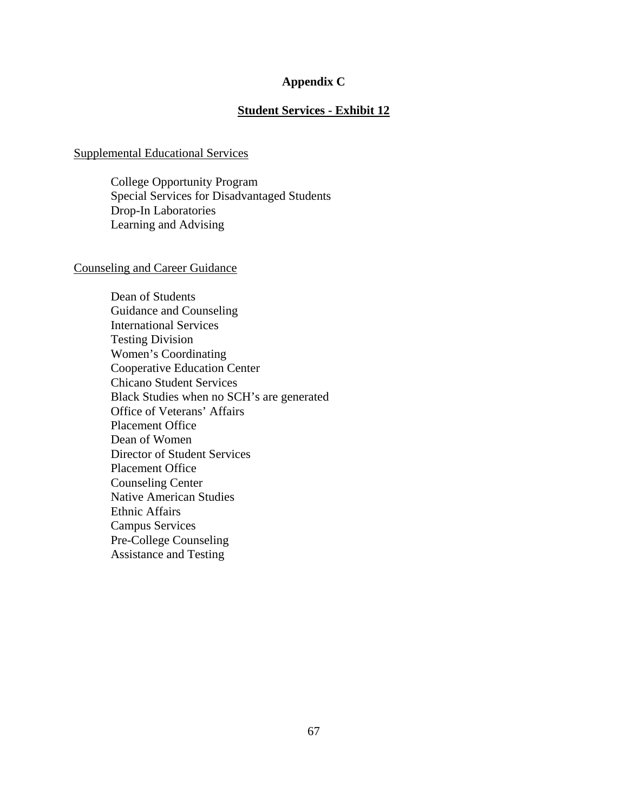#### **Appendix C**

# **Student Services - Exhibit 12**

#### Supplemental Educational Services

College Opportunity Program Special Services for Disadvantaged Students Drop-In Laboratories Learning and Advising

#### Counseling and Career Guidance

Dean of Students Guidance and Counseling International Services Testing Division Women's Coordinating Cooperative Education Center Chicano Student Services Black Studies when no SCH's are generated Office of Veterans' Affairs Placement Office Dean of Women Director of Student Services Placement Office Counseling Center Native American Studies Ethnic Affairs Campus Services Pre-College Counseling Assistance and Testing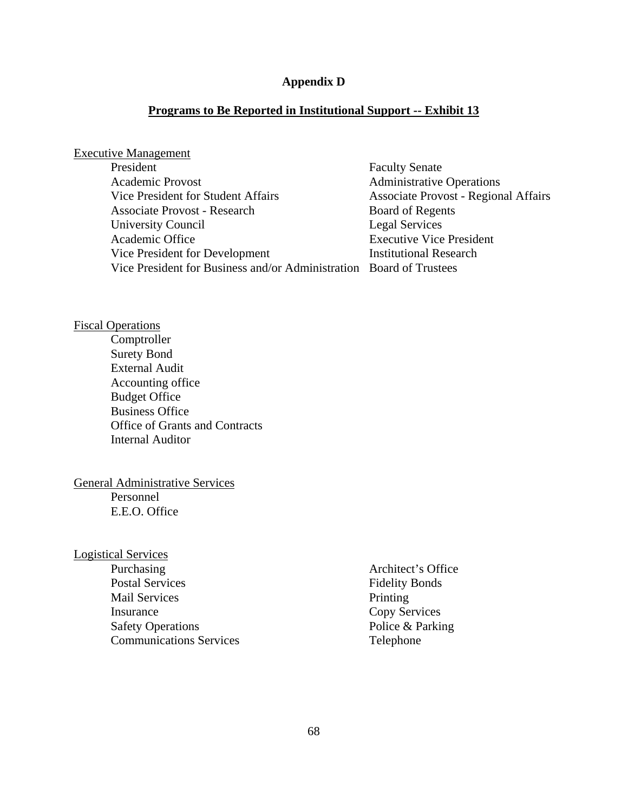# **Appendix D**

# **Programs to Be Reported in Institutional Support -- Exhibit 13**

# Executive Management

| President                                                           | <b>Faculty Senate</b>                       |
|---------------------------------------------------------------------|---------------------------------------------|
| <b>Academic Provost</b>                                             | <b>Administrative Operations</b>            |
| Vice President for Student Affairs                                  | <b>Associate Provost - Regional Affairs</b> |
| <b>Associate Provost - Research</b>                                 | Board of Regents                            |
| University Council                                                  | Legal Services                              |
| Academic Office                                                     | <b>Executive Vice President</b>             |
| Vice President for Development                                      | <b>Institutional Research</b>               |
| Vice President for Business and/or Administration Board of Trustees |                                             |

# Fiscal Operations

Comptroller Surety Bond External Audit Accounting office Budget Office Business Office Office of Grants and Contracts Internal Auditor

#### General Administrative Services Personnel

E.E.O. Office

# Logistical Services

| Purchasing                     | Architect's Office    |
|--------------------------------|-----------------------|
| <b>Postal Services</b>         | <b>Fidelity Bonds</b> |
| <b>Mail Services</b>           | Printing              |
| Insurance                      | Copy Services         |
| <b>Safety Operations</b>       | Police & Parking      |
| <b>Communications Services</b> | Telephone             |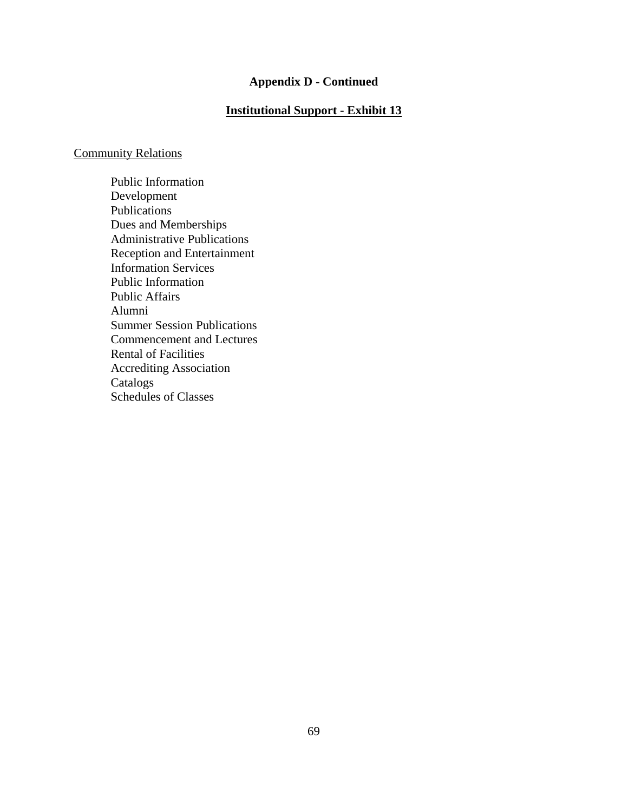# **Appendix D - Continued**

# **Institutional Support - Exhibit 13**

# Community Relations

Public Information Development Publications Dues and Memberships Administrative Publications Reception and Entertainment Information Services Public Information Public Affairs Alumni Summer Session Publications Commencement and Lectures Rental of Facilities Accrediting Association Catalogs Schedules of Classes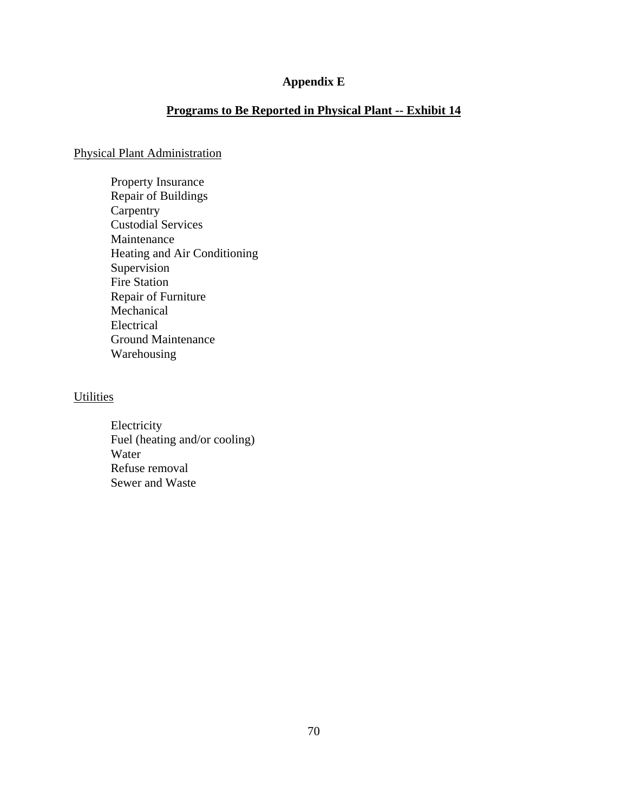# **Appendix E**

# **Programs to Be Reported in Physical Plant -- Exhibit 14**

# Physical Plant Administration

Property Insurance Repair of Buildings **Carpentry** Custodial Services Maintenance Heating and Air Conditioning Supervision Fire Station Repair of Furniture Mechanical Electrical Ground Maintenance Warehousing

# **Utilities**

Electricity Fuel (heating and/or cooling) Water Refuse removal Sewer and Waste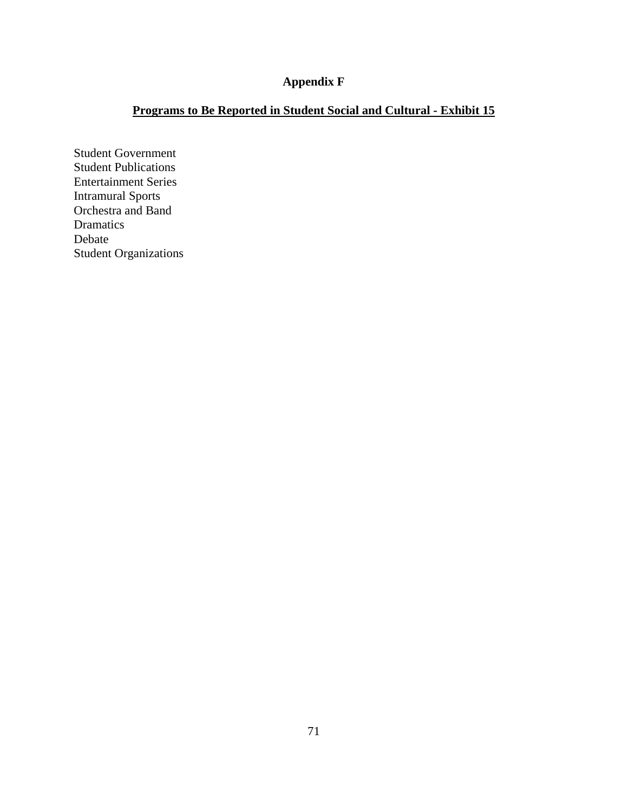# **Appendix F**

# **Programs to Be Reported in Student Social and Cultural - Exhibit 15**

Student Government Student Publications Entertainment Series Intramural Sports Orchestra and Band Dramatics Debate Student Organizations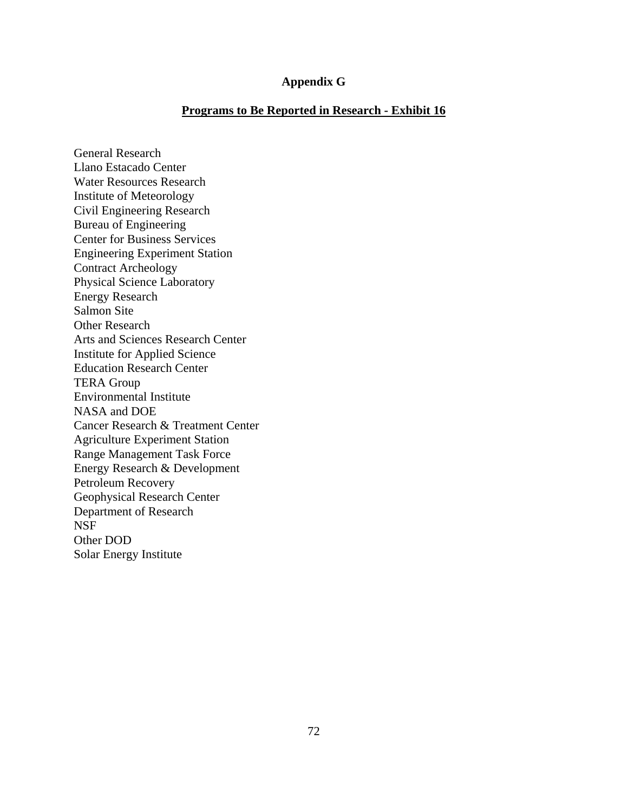#### **Appendix G**

#### **Programs to Be Reported in Research - Exhibit 16**

General Research Llano Estacado Center Water Resources Research Institute of Meteorology Civil Engineering Research Bureau of Engineering Center for Business Services Engineering Experiment Station Contract Archeology Physical Science Laboratory Energy Research Salmon Site Other Research Arts and Sciences Research Center Institute for Applied Science Education Research Center TERA Group Environmental Institute NASA and DOE Cancer Research & Treatment Center Agriculture Experiment Station Range Management Task Force Energy Research & Development Petroleum Recovery Geophysical Research Center Department of Research NSF Other DOD Solar Energy Institute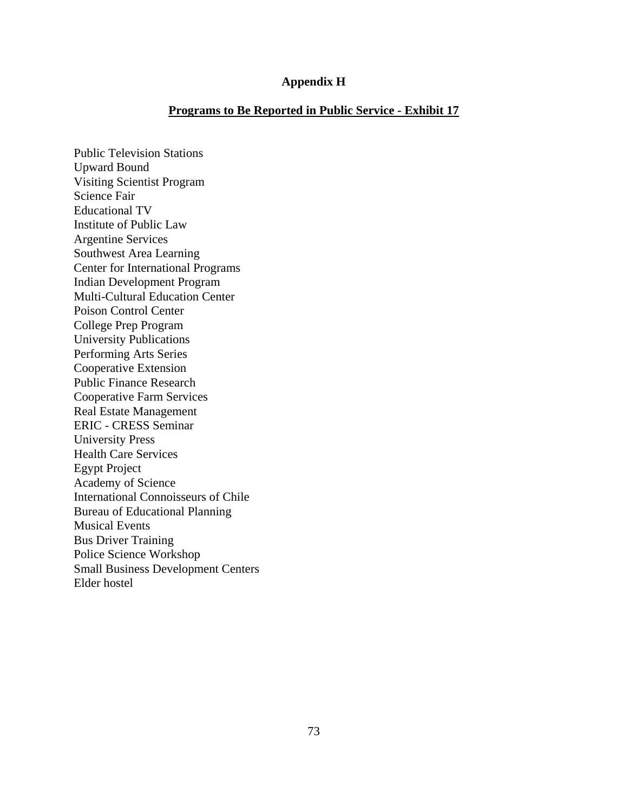#### **Appendix H**

#### **Programs to Be Reported in Public Service - Exhibit 17**

Public Television Stations Upward Bound Visiting Scientist Program Science Fair Educational TV Institute of Public Law Argentine Services Southwest Area Learning Center for International Programs Indian Development Program Multi-Cultural Education Center Poison Control Center College Prep Program University Publications Performing Arts Series Cooperative Extension Public Finance Research Cooperative Farm Services Real Estate Management ERIC - CRESS Seminar University Press Health Care Services Egypt Project Academy of Science International Connoisseurs of Chile Bureau of Educational Planning Musical Events Bus Driver Training Police Science Workshop Small Business Development Centers Elder hostel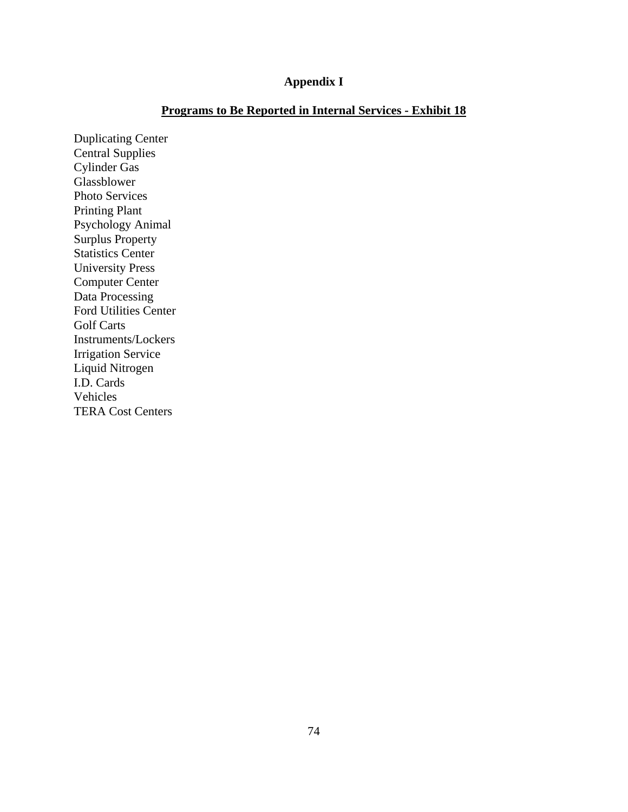### **Appendix I**

### **Programs to Be Reported in Internal Services - Exhibit 18**

Duplicating Center Central Supplies Cylinder Gas Glassblower Photo Services Printing Plant Psychology Animal Surplus Property Statistics Center University Press Computer Center Data Processing Ford Utilities Center Golf Carts Instruments/Lockers Irrigation Service Liquid Nitrogen I.D. Cards Vehicles TERA Cost Centers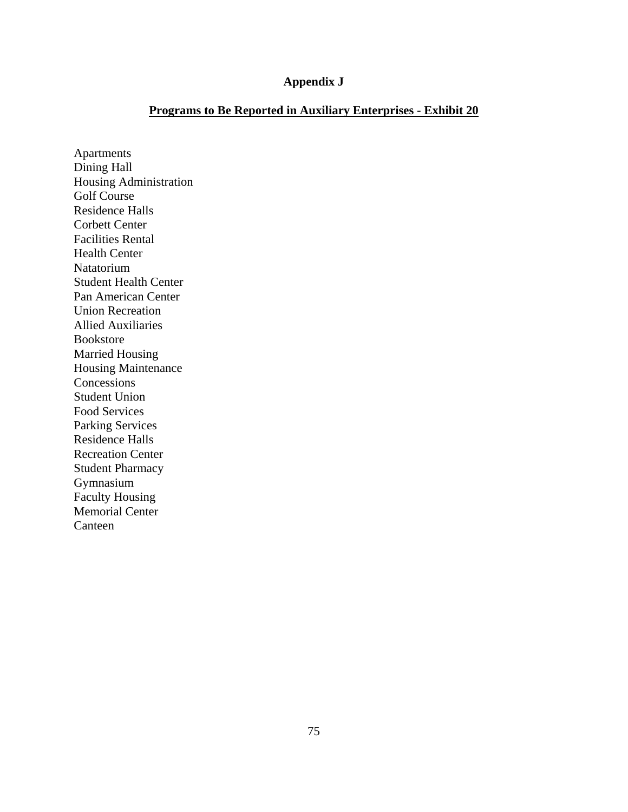#### **Appendix J**

### **Programs to Be Reported in Auxiliary Enterprises - Exhibit 20**

Apartments Dining Hall Housing Administration Golf Course Residence Halls Corbett Center Facilities Rental Health Center Natatorium Student Health Center Pan American Center Union Recreation Allied Auxiliaries Bookstore Married Housing Housing Maintenance Concessions Student Union Food Services Parking Services Residence Halls Recreation Center Student Pharmacy Gymnasium Faculty Housing Memorial Center Canteen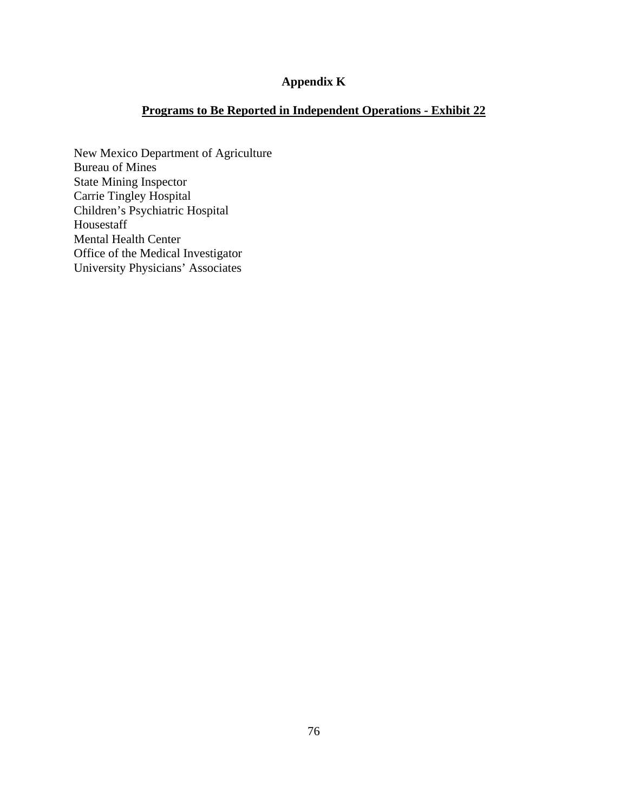### **Appendix K**

## **Programs to Be Reported in Independent Operations - Exhibit 22**

New Mexico Department of Agriculture Bureau of Mines State Mining Inspector Carrie Tingley Hospital Children's Psychiatric Hospital Housestaff Mental Health Center Office of the Medical Investigator University Physicians' Associates